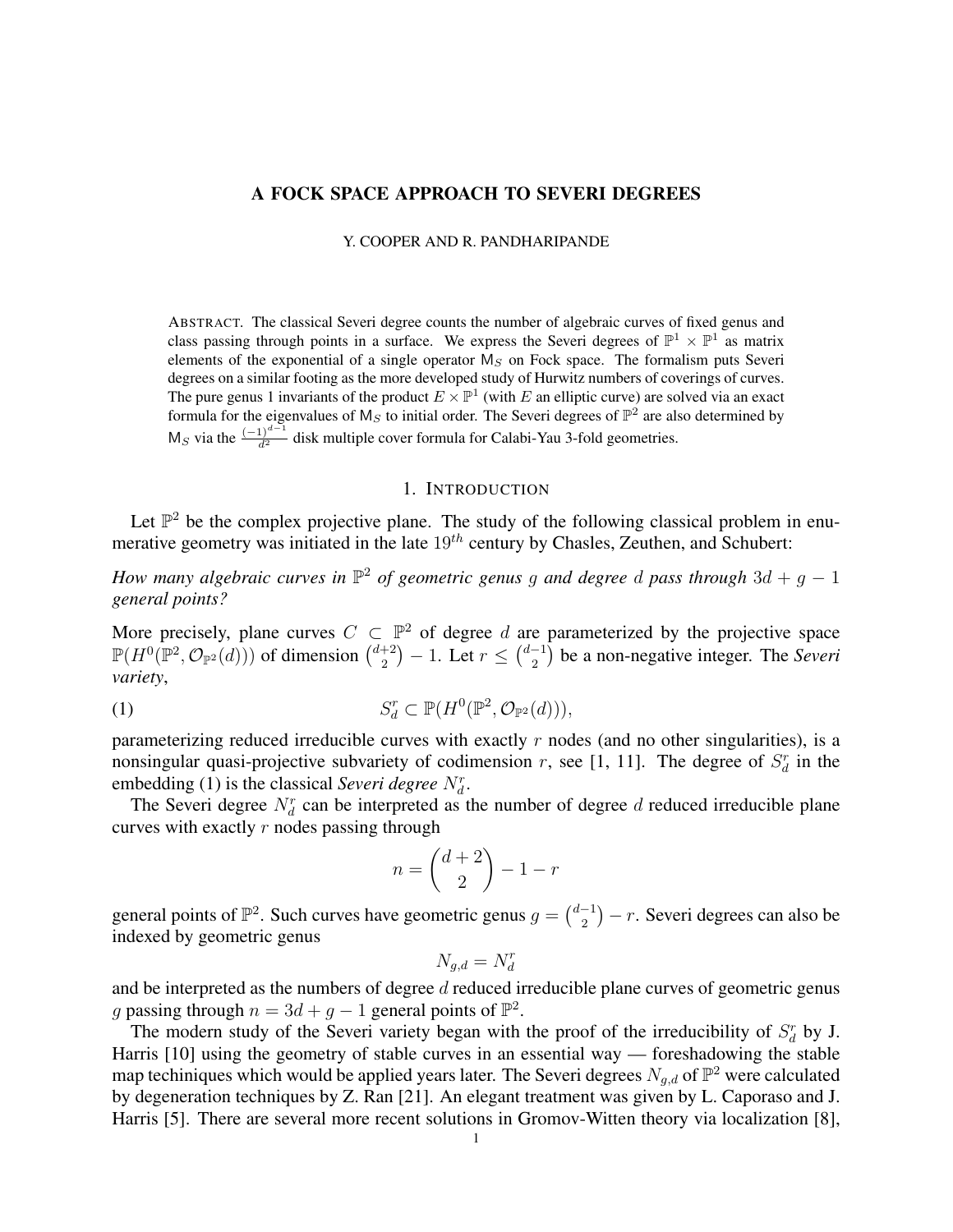### A FOCK SPACE APPROACH TO SEVERI DEGREES

Y. COOPER AND R. PANDHARIPANDE

ABSTRACT. The classical Severi degree counts the number of algebraic curves of fixed genus and class passing through points in a surface. We express the Severi degrees of  $\mathbb{P}^1 \times \mathbb{P}^1$  as matrix elements of the exponential of a single operator  $M<sub>S</sub>$  on Fock space. The formalism puts Severi degrees on a similar footing as the more developed study of Hurwitz numbers of coverings of curves. The pure genus 1 invariants of the product  $E \times \mathbb{P}^1$  (with E an elliptic curve) are solved via an exact formula for the eigenvalues of  $M_S$  to initial order. The Severi degrees of  $\mathbb{P}^2$  are also determined by M<sub>S</sub> via the  $\frac{(-1)^{d-1}}{d^2}$  disk multiple cover formula for Calabi-Yau 3-fold geometries.

### 1. INTRODUCTION

Let  $\mathbb{P}^2$  be the complex projective plane. The study of the following classical problem in enumerative geometry was initiated in the late  $19<sup>th</sup>$  century by Chasles, Zeuthen, and Schubert:

*How many algebraic curves in*  $\mathbb{P}^2$  *of geometric genus g and degree d pass through*  $3d + g - 1$ *general points?*

More precisely, plane curves  $C \subset \mathbb{P}^2$  of degree d are parameterized by the projective space  $\mathbb{P}(H^0(\mathbb{P}^2, \mathcal{O}_{\mathbb{P}^2}(d)))$  of dimension  $\binom{d+2}{2}$  $\binom{+2}{2}$  – 1. Let  $r \leq \binom{d-1}{2}$  $\binom{-1}{2}$  be a non-negative integer. The *Severi variety*,

(1) 
$$
S_d^r \subset \mathbb{P}(H^0(\mathbb{P}^2, \mathcal{O}_{\mathbb{P}^2}(d))),
$$

parameterizing reduced irreducible curves with exactly  $r$  nodes (and no other singularities), is a nonsingular quasi-projective subvariety of codimension r, see [1, 11]. The degree of  $S_d^r$  in the embedding (1) is the classical *Severi degree*  $N_d^r$ .

The Severi degree  $N_d^r$  can be interpreted as the number of degree d reduced irreducible plane curves with exactly  $r$  nodes passing through

$$
n = \binom{d+2}{2} - 1 - r
$$

general points of  $\mathbb{P}^2$ . Such curves have geometric genus  $g = \begin{pmatrix} d-1 \\ 2 \end{pmatrix}$  $\binom{-1}{2} - r$ . Severi degrees can also be indexed by geometric genus

$$
N_{g,d} = N_d^r
$$

and be interpreted as the numbers of degree  $d$  reduced irreducible plane curves of geometric genus g passing through  $n = 3d + g - 1$  general points of  $\mathbb{P}^2$ .

The modern study of the Severi variety began with the proof of the irreducibility of  $S_d^r$  by J. Harris [10] using the geometry of stable curves in an essential way — foreshadowing the stable map techiniques which would be applied years later. The Severi degrees  $N_{g,d}$  of  $\mathbb{P}^2$  were calculated by degeneration techniques by Z. Ran [21]. An elegant treatment was given by L. Caporaso and J. Harris [5]. There are several more recent solutions in Gromov-Witten theory via localization [8],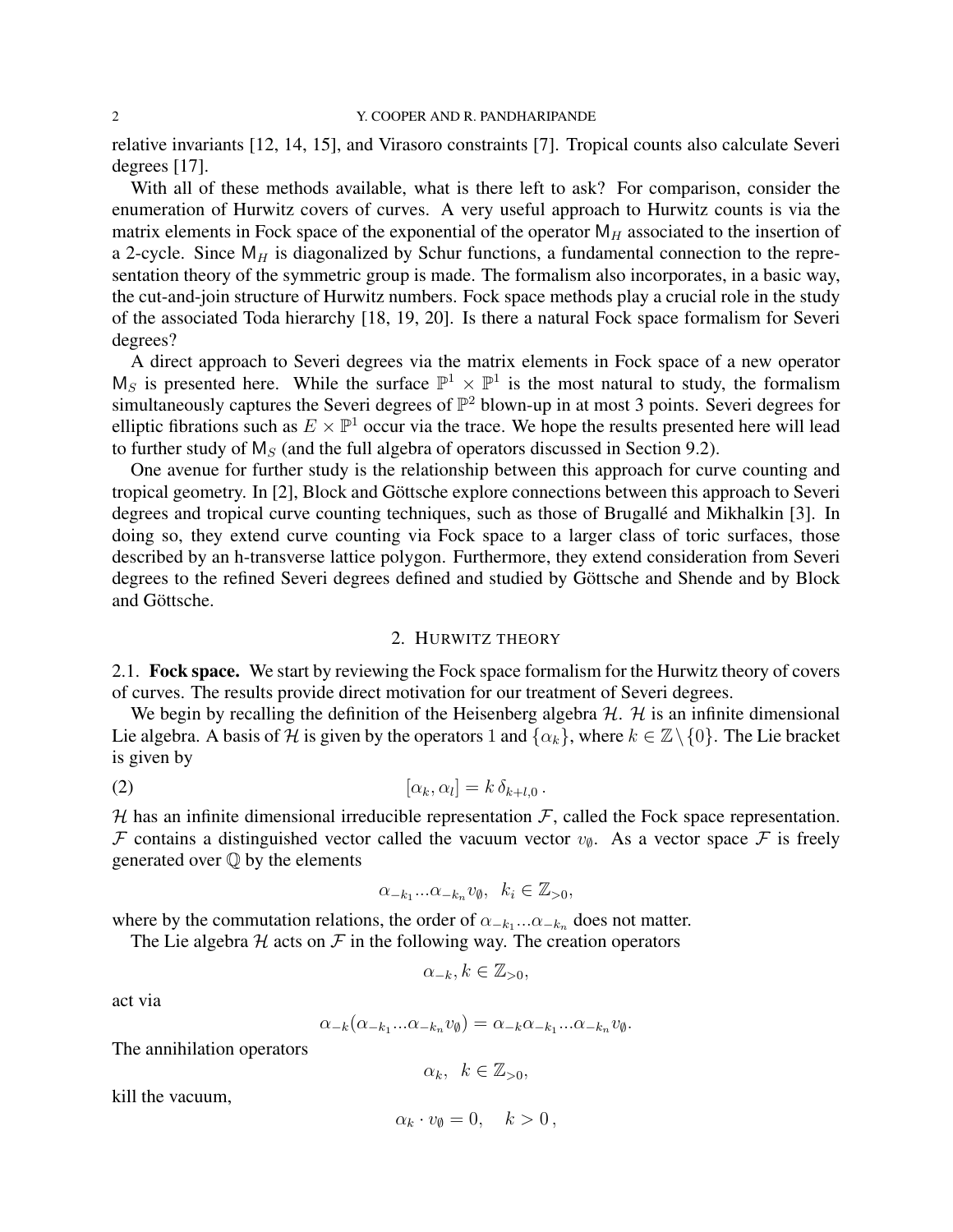relative invariants [12, 14, 15], and Virasoro constraints [7]. Tropical counts also calculate Severi degrees [17].

With all of these methods available, what is there left to ask? For comparison, consider the enumeration of Hurwitz covers of curves. A very useful approach to Hurwitz counts is via the matrix elements in Fock space of the exponential of the operator  $M_H$  associated to the insertion of a 2-cycle. Since  $M_H$  is diagonalized by Schur functions, a fundamental connection to the representation theory of the symmetric group is made. The formalism also incorporates, in a basic way, the cut-and-join structure of Hurwitz numbers. Fock space methods play a crucial role in the study of the associated Toda hierarchy [18, 19, 20]. Is there a natural Fock space formalism for Severi degrees?

A direct approach to Severi degrees via the matrix elements in Fock space of a new operator  $M_S$  is presented here. While the surface  $\mathbb{P}^1 \times \mathbb{P}^1$  is the most natural to study, the formalism simultaneously captures the Severi degrees of  $\mathbb{P}^2$  blown-up in at most 3 points. Severi degrees for elliptic fibrations such as  $E \times \mathbb{P}^1$  occur via the trace. We hope the results presented here will lead to further study of  $M<sub>S</sub>$  (and the full algebra of operators discussed in Section 9.2).

One avenue for further study is the relationship between this approach for curve counting and tropical geometry. In [2], Block and Göttsche explore connections between this approach to Severi degrees and tropical curve counting techniques, such as those of Brugallé and Mikhalkin [3]. In doing so, they extend curve counting via Fock space to a larger class of toric surfaces, those described by an h-transverse lattice polygon. Furthermore, they extend consideration from Severi degrees to the refined Severi degrees defined and studied by Göttsche and Shende and by Block and Göttsche.

#### 2. HURWITZ THEORY

2.1. Fock space. We start by reviewing the Fock space formalism for the Hurwitz theory of covers of curves. The results provide direct motivation for our treatment of Severi degrees.

We begin by recalling the definition of the Heisenberg algebra  $H$ .  $H$  is an infinite dimensional Lie algebra. A basis of H is given by the operators 1 and  $\{\alpha_k\}$ , where  $k \in \mathbb{Z}\setminus\{0\}$ . The Lie bracket is given by

$$
[\alpha_k, \alpha_l] = k \, \delta_{k+l,0} \, .
$$

 $H$  has an infinite dimensional irreducible representation  $F$ , called the Fock space representation. F contains a distinguished vector called the vacuum vector  $v_{\emptyset}$ . As a vector space F is freely generated over  $\mathbb Q$  by the elements

$$
\alpha_{-k_1}...\alpha_{-k_n}v_{\emptyset}, \ \ k_i\in\mathbb{Z}_{>0},
$$

where by the commutation relations, the order of  $\alpha_{-k_1}...\alpha_{-k_n}$  does not matter.

The Lie algebra  $H$  acts on  $F$  in the following way. The creation operators

$$
\alpha_{-k}, k \in \mathbb{Z}_{>0},
$$

act via

$$
\alpha_{-k}(\alpha_{-k_1}...\alpha_{-k_n}v_{\emptyset})=\alpha_{-k}\alpha_{-k_1}...\alpha_{-k_n}v_{\emptyset}.
$$

The annihilation operators

 $\alpha_k, \; k \in \mathbb{Z}_{>0},$ 

kill the vacuum,

$$
\alpha_k \cdot v_\emptyset = 0, \quad k > 0 \,,
$$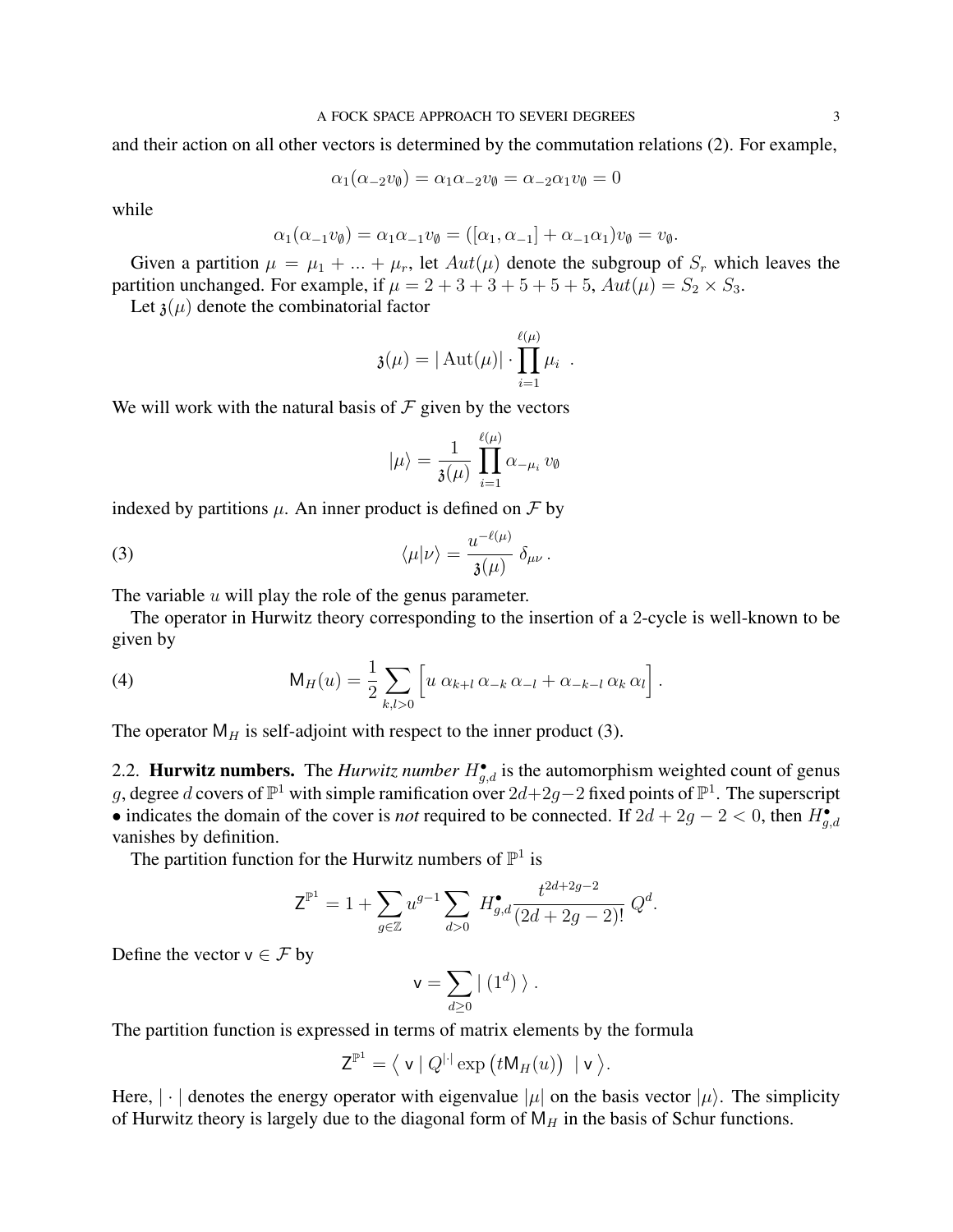and their action on all other vectors is determined by the commutation relations (2). For example,

$$
\alpha_1(\alpha_{-2}v_{\emptyset}) = \alpha_1\alpha_{-2}v_{\emptyset} = \alpha_{-2}\alpha_1v_{\emptyset} = 0
$$

while

$$
\alpha_1(\alpha_{-1}v_{\emptyset}) = \alpha_1\alpha_{-1}v_{\emptyset} = ([\alpha_1, \alpha_{-1}] + \alpha_{-1}\alpha_1)v_{\emptyset} = v_{\emptyset}.
$$

Given a partition  $\mu = \mu_1 + ... + \mu_r$ , let  $Aut(\mu)$  denote the subgroup of  $S_r$  which leaves the partition unchanged. For example, if  $\mu = 2 + 3 + 3 + 5 + 5 + 5$ ,  $Aut(\mu) = S_2 \times S_3$ .

Let  $\mathfrak{z}(\mu)$  denote the combinatorial factor

$$
\mathfrak{z}(\mu) = |\operatorname{Aut}(\mu)| \cdot \prod_{i=1}^{\ell(\mu)} \mu_i.
$$

We will work with the natural basis of  $\mathcal F$  given by the vectors

$$
|\mu\rangle = \frac{1}{\mathfrak{z}(\mu)} \prod_{i=1}^{\ell(\mu)} \alpha_{-\mu_i} v_{\emptyset}
$$

indexed by partitions  $\mu$ . An inner product is defined on  $\mathcal F$  by

(3) 
$$
\langle \mu | \nu \rangle = \frac{u^{-\ell(\mu)}}{\mathfrak{z}(\mu)} \delta_{\mu\nu}.
$$

The variable  $u$  will play the role of the genus parameter.

The operator in Hurwitz theory corresponding to the insertion of a 2-cycle is well-known to be given by

(4) 
$$
\mathsf{M}_H(u) = \frac{1}{2} \sum_{k,l>0} \left[ u \alpha_{k+l} \alpha_{-k} \alpha_{-l} + \alpha_{-k-l} \alpha_k \alpha_l \right].
$$

The operator  $M_H$  is self-adjoint with respect to the inner product (3).

2.2. **Hurwitz numbers.** The *Hurwitz number*  $H_{g,d}^{\bullet}$  is the automorphism weighted count of genus g, degree d covers of  $\mathbb{P}^1$  with simple ramification over  $2d+2g-2$  fixed points of  $\mathbb{P}^1$ . The superscript • indicates the domain of the cover is *not* required to be connected. If  $2d + 2g - 2 < 0$ , then  $H_{g,d}^{\bullet}$ vanishes by definition.

The partition function for the Hurwitz numbers of  $\mathbb{P}^1$  is

$$
Z^{\mathbb{P}^1} = 1 + \sum_{g \in \mathbb{Z}} u^{g-1} \sum_{d>0} H_{g,d}^{\bullet} \frac{t^{2d+2g-2}}{(2d+2g-2)!} Q^d.
$$

Define the vector  $v \in \mathcal{F}$  by

$$
\mathsf{v}=\sum_{d\geq 0} \mid (1^d)\ \rangle\ .
$$

The partition function is expressed in terms of matrix elements by the formula

$$
\mathsf{Z}^{\mathbb{P}^1} = \langle \mathbf{v} \mid Q^{\|\cdot\|} \exp\big(t\mathsf{M}_H(u)\big) \mid \mathsf{v} \rangle.
$$

Here,  $|\cdot|$  denotes the energy operator with eigenvalue  $|\mu|$  on the basis vector  $|\mu\rangle$ . The simplicity of Hurwitz theory is largely due to the diagonal form of  $M_H$  in the basis of Schur functions.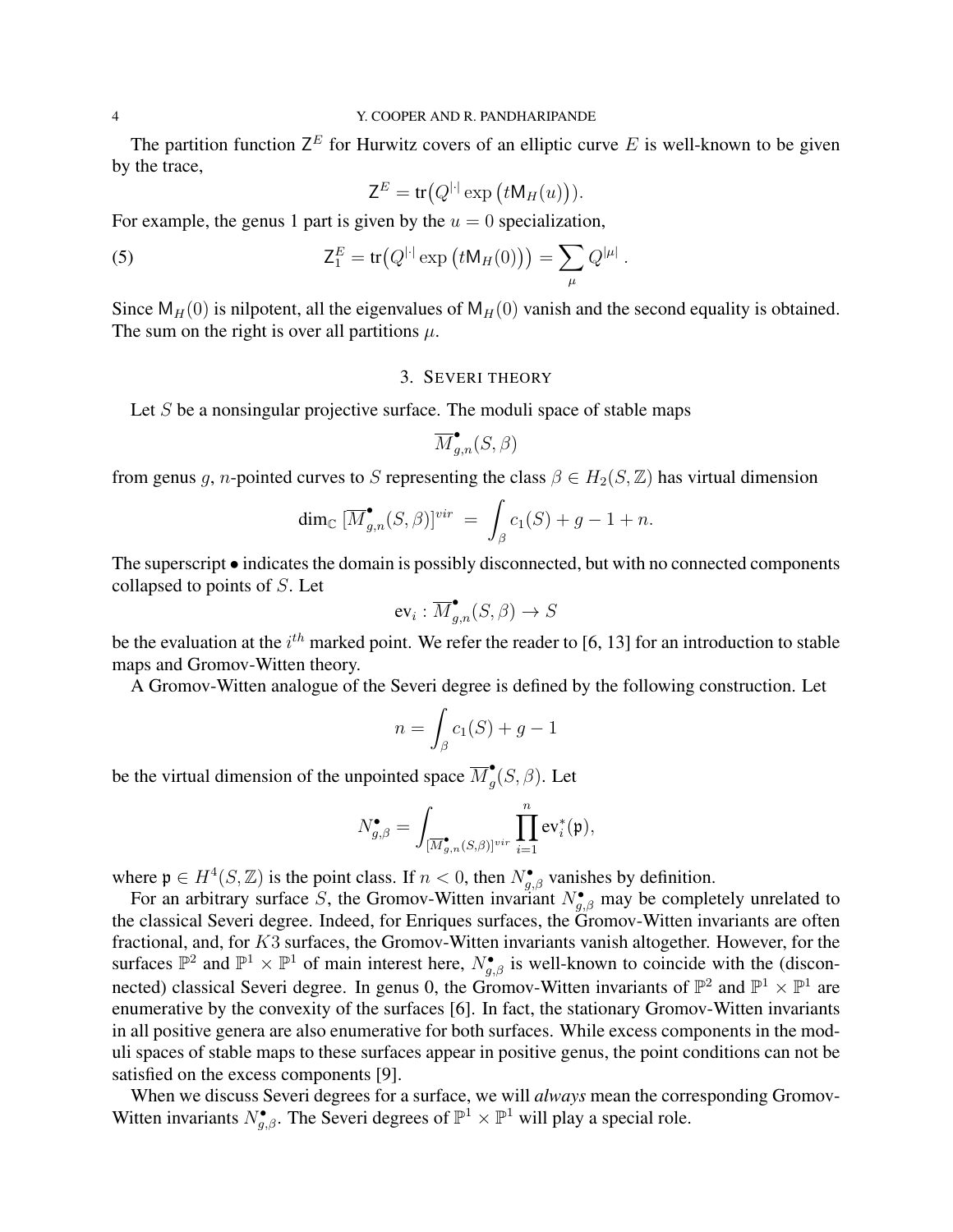The partition function  $Z^E$  for Hurwitz covers of an elliptic curve E is well-known to be given by the trace,

$$
\mathsf{Z}^E = \operatorname{tr}(Q^{|\cdot|} \exp\left(t\mathsf{M}_H(u)\right)).
$$

For example, the genus 1 part is given by the  $u = 0$  specialization,

(5) 
$$
Z_1^E = \text{tr}(Q^{|\cdot|} \exp(tM_H(0))) = \sum_{\mu} Q^{|\mu|}.
$$

Since  $M_H(0)$  is nilpotent, all the eigenvalues of  $M_H(0)$  vanish and the second equality is obtained. The sum on the right is over all partitions  $\mu$ .

## 3. SEVERI THEORY

Let  $S$  be a nonsingular projective surface. The moduli space of stable maps

$$
\overline{M}_{g,n}^\bullet(S,\beta)
$$

from genus g, n-pointed curves to S representing the class  $\beta \in H_2(S, \mathbb{Z})$  has virtual dimension

$$
\dim_{\mathbb{C}} \left[ \overline{M}^{\bullet}_{g,n}(S,\beta) \right]^{vir} \ = \ \int_{\beta} c_1(S) + g - 1 + n.
$$

The superscript • indicates the domain is possibly disconnected, but with no connected components collapsed to points of S. Let

$$
\operatorname{ev}_i:\overline{M}_{g,n}^\bullet(S,\beta)\to S
$$

be the evaluation at the  $i^{th}$  marked point. We refer the reader to [6, 13] for an introduction to stable maps and Gromov-Witten theory.

A Gromov-Witten analogue of the Severi degree is defined by the following construction. Let

$$
n = \int_{\beta} c_1(S) + g - 1
$$

be the virtual dimension of the unpointed space  $\overline{M}_{a}^{\bullet}$  $\int_g$  $(S, \beta)$ . Let

$$
N_{g,\beta}^\bullet=\int_{[\overline{M}_{g,n}^\bullet(S,\beta)]^{vir}}\prod_{i=1}^n \text{ev}_i^*(\mathfrak{p}),
$$

where  $\mathfrak{p} \in H^4(S, \mathbb{Z})$  is the point class. If  $n < 0$ , then  $N_{g,\beta}^{\bullet}$  vanishes by definition.

For an arbitrary surface S, the Gromov-Witten invariant  $N_{g,\beta}^{\bullet}$  may be completely unrelated to the classical Severi degree. Indeed, for Enriques surfaces, the Gromov-Witten invariants are often fractional, and, for K3 surfaces, the Gromov-Witten invariants vanish altogether. However, for the surfaces  $\mathbb{P}^2$  and  $\mathbb{P}^1 \times \mathbb{P}^1$  of main interest here,  $N_{g,\beta}^{\bullet}$  is well-known to coincide with the (disconnected) classical Severi degree. In genus 0, the Gromov-Witten invariants of  $\mathbb{P}^2$  and  $\mathbb{P}^1 \times \mathbb{P}^1$  are enumerative by the convexity of the surfaces [6]. In fact, the stationary Gromov-Witten invariants in all positive genera are also enumerative for both surfaces. While excess components in the moduli spaces of stable maps to these surfaces appear in positive genus, the point conditions can not be satisfied on the excess components [9].

When we discuss Severi degrees for a surface, we will *always* mean the corresponding Gromov-Witten invariants  $N_{g,\beta}^{\bullet}$ . The Severi degrees of  $\mathbb{P}^1 \times \mathbb{P}^1$  will play a special role.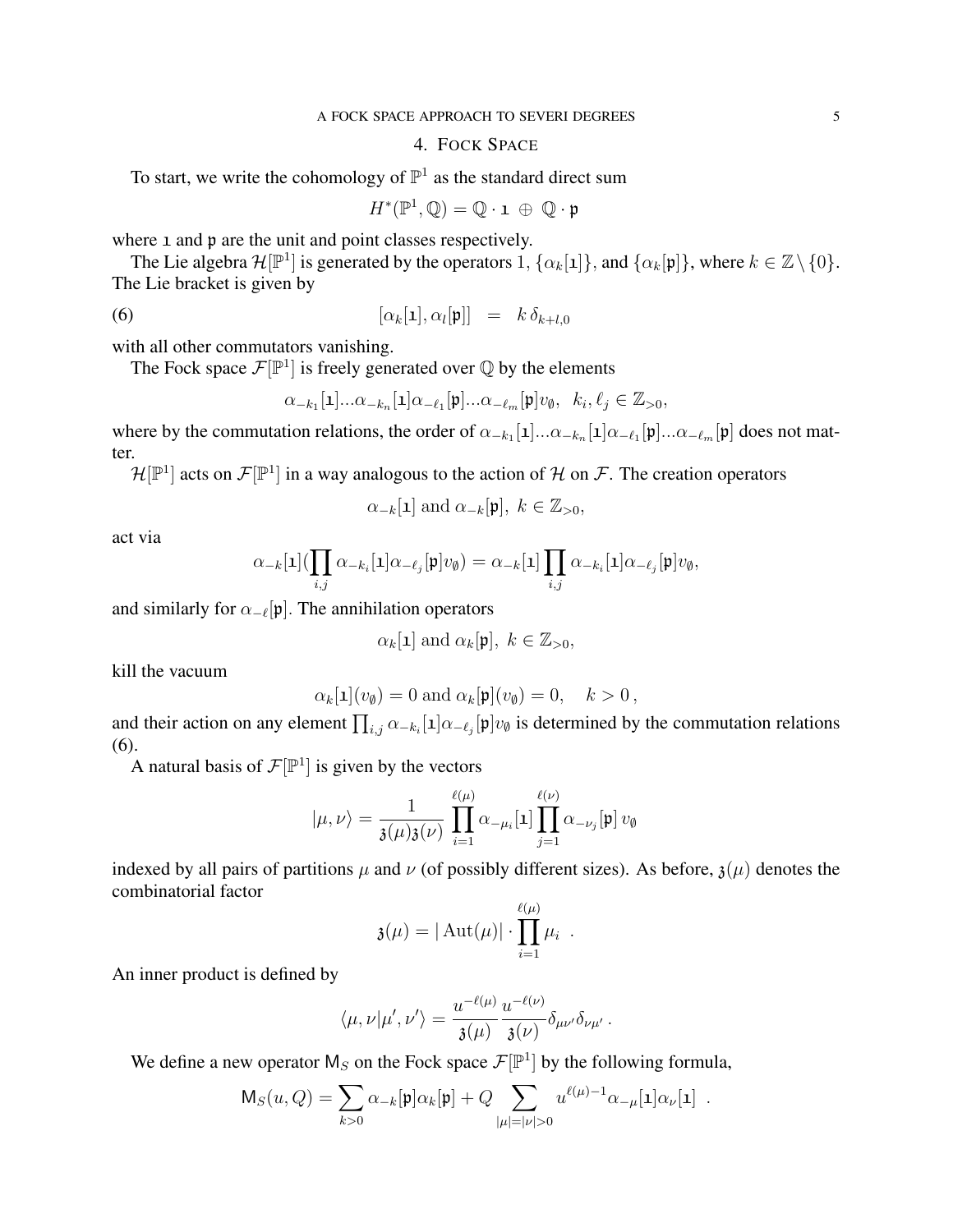# 4. FOCK SPACE

To start, we write the cohomology of  $\mathbb{P}^1$  as the standard direct sum

 $H^*(\mathbb{P}^1, \mathbb{Q}) = \mathbb{Q} \cdot \mathbf{1} \oplus \mathbb{Q} \cdot \mathfrak{p}$ 

where 1 and p are the unit and point classes respectively.

The Lie algebra  $\mathcal{H}[\mathbb{P}^1]$  is generated by the operators 1,  $\{\alpha_k[\mathbf{1}]\}$ , and  $\{\alpha_k[\mathbf{p}]\}$ , where  $k \in \mathbb{Z} \setminus \{0\}$ . The Lie bracket is given by

(6) 
$$
[\alpha_k[\mathbf{1}], \alpha_l[\mathbf{p}]] = k \, \delta_{k+l,0}
$$

with all other commutators vanishing.

The Fock space  $\mathcal{F}[\mathbb{P}^1]$  is freely generated over  $\mathbb Q$  by the elements

$$
\alpha_{-k_1}[\mathbf{1}]\ldots\alpha_{-k_n}[\mathbf{1}]\alpha_{-\ell_1}[\mathfrak{p}]\ldots\alpha_{-\ell_m}[\mathfrak{p}]v_\emptyset, \;\; k_i,\ell_j\in\mathbb{Z}_{>0},
$$

where by the commutation relations, the order of  $\alpha_{-k_1}[1]... \alpha_{-k_n}[1] \alpha_{-\ell_1}[\mathfrak{p}]... \alpha_{-\ell_m}[\mathfrak{p}]$  does not matter.

 $\mathcal{H}[\mathbb{P}^1]$  acts on  $\mathcal{F}[\mathbb{P}^1]$  in a way analogous to the action of H on F. The creation operators

$$
\alpha_{-k}[\mathbf{1}]
$$
 and  $\alpha_{-k}[\mathbf{p}], k \in \mathbb{Z}_{>0}$ ,

act via

$$
\alpha_{-k}[\mathbf{1}](\prod_{i,j}\alpha_{-k_i}[\mathbf{1}]\alpha_{-\ell_j}[\mathfrak{p}]v_{\emptyset})=\alpha_{-k}[\mathbf{1}]\prod_{i,j}\alpha_{-k_i}[\mathbf{1}]\alpha_{-\ell_j}[\mathfrak{p}]v_{\emptyset},
$$

and similarly for  $\alpha_{-\ell}[\mathfrak{p}]$ . The annihilation operators

$$
\alpha_k[\mathbf{1}]
$$
 and  $\alpha_k[\mathbf{p}], k \in \mathbb{Z}_{>0}$ ,

kill the vacuum

$$
\alpha_k[\mathbf{1}](v_{\emptyset}) = 0 \text{ and } \alpha_k[\mathbf{p}](v_{\emptyset}) = 0, \quad k > 0,
$$

and their action on any element  $\prod_{i,j} \alpha_{-k_i}[1] \alpha_{-\ell_j}[\mathfrak{p}] v_{\emptyset}$  is determined by the commutation relations (6).

A natural basis of  $\mathcal{F}[\mathbb{P}^1]$  is given by the vectors

$$
|\mu,\nu\rangle = \frac{1}{\mathfrak{z}(\mu)\mathfrak{z}(\nu)}\prod_{i=1}^{\ell(\mu)}\alpha_{-\mu_i}[1]\prod_{j=1}^{\ell(\nu)}\alpha_{-\nu_j}[\mathfrak{p}]\,v_{\emptyset}
$$

indexed by all pairs of partitions  $\mu$  and  $\nu$  (of possibly different sizes). As before,  $\mathfrak{z}(\mu)$  denotes the combinatorial factor

$$
\mathfrak{z}(\mu) = |\operatorname{Aut}(\mu)| \cdot \prod_{i=1}^{\ell(\mu)} \mu_i.
$$

An inner product is defined by

$$
\langle \mu,\nu|\mu',\nu'\rangle=\frac{u^{-\ell(\mu)}}{\mathfrak{z}(\mu)}\frac{u^{-\ell(\nu)}}{\mathfrak{z}(\nu)}\delta_{\mu\nu'}\delta_{\nu\mu'}\,.
$$

We define a new operator  $M_S$  on the Fock space  $\mathcal{F}[\mathbb{P}^1]$  by the following formula,

$$
\mathsf{M}_S(u, Q) = \sum_{k>0} \alpha_{-k}[\mathfrak{p}] \alpha_k[\mathfrak{p}] + Q \sum_{|\mu|=|\nu|>0} u^{\ell(\mu)-1} \alpha_{-\mu}[\mathbf{1}] \alpha_{\nu}[\mathbf{1}] .
$$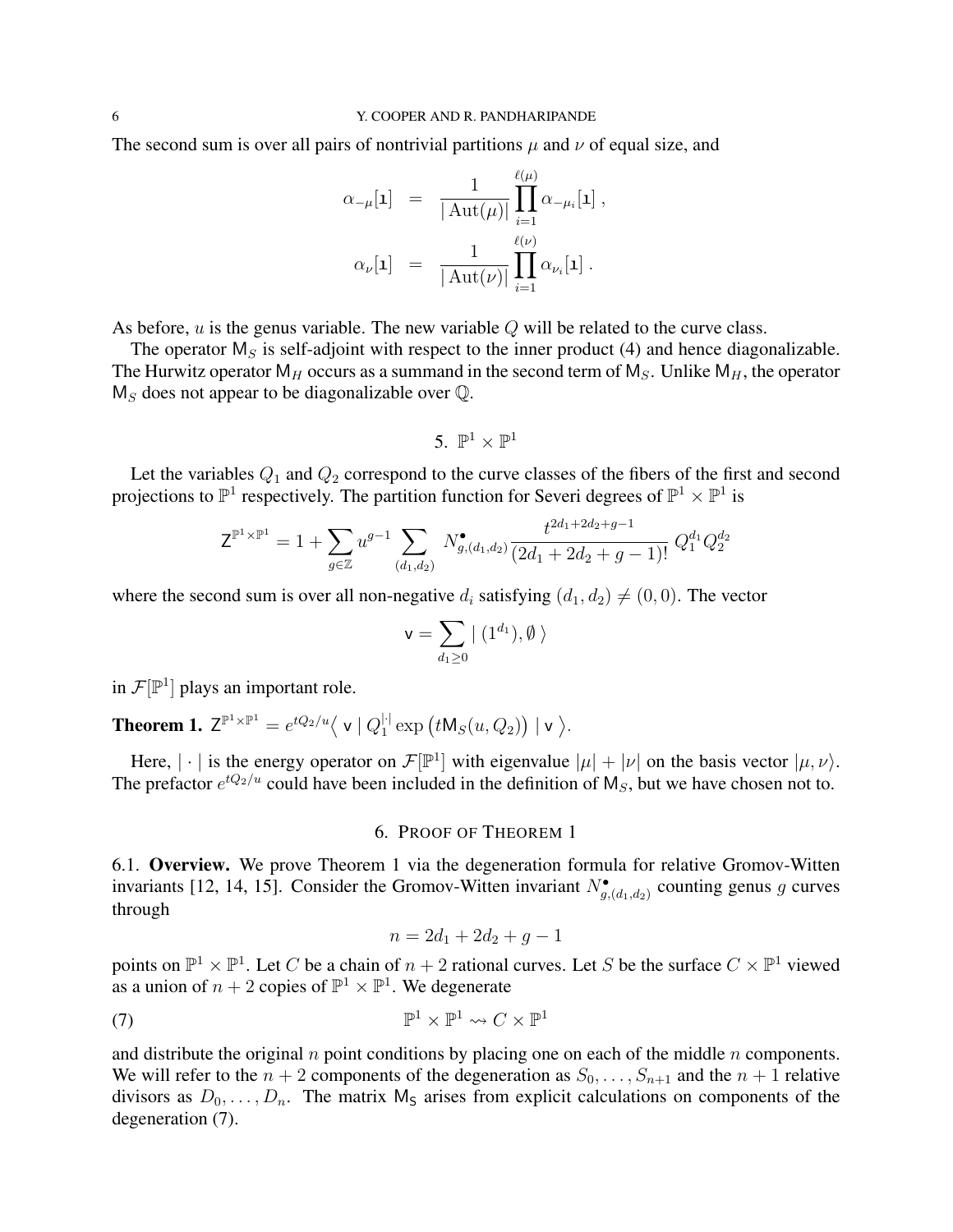The second sum is over all pairs of nontrivial partitions  $\mu$  and  $\nu$  of equal size, and

$$
\alpha_{-\mu}[1] = \frac{1}{|\operatorname{Aut}(\mu)|} \prod_{i=1}^{\ell(\mu)} \alpha_{-\mu_i}[1],
$$
  

$$
\alpha_{\nu}[1] = \frac{1}{|\operatorname{Aut}(\nu)|} \prod_{i=1}^{\ell(\nu)} \alpha_{\nu_i}[1].
$$

As before,  $u$  is the genus variable. The new variable  $Q$  will be related to the curve class.

The operator  $M<sub>S</sub>$  is self-adjoint with respect to the inner product (4) and hence diagonalizable. The Hurwitz operator  $M_H$  occurs as a summand in the second term of  $M_S$ . Unlike  $M_H$ , the operator  $M<sub>S</sub>$  does not appear to be diagonalizable over  $\mathbb{Q}$ .

$$
5.~\mathbb{P}^1\times\mathbb{P}^1
$$

Let the variables  $Q_1$  and  $Q_2$  correspond to the curve classes of the fibers of the first and second projections to  $\mathbb{P}^1$  respectively. The partition function for Severi degrees of  $\mathbb{P}^1 \times \mathbb{P}^1$  is

$$
\mathsf{Z}^{\mathbb{P}^1\times\mathbb{P}^1}=1+\sum_{g\in\mathbb{Z}}u^{g-1}\sum_{(d_1,d_2)}N_{g,(d_1,d_2)}^{\bullet}\frac{t^{2d_1+2d_2+g-1}}{(2d_1+2d_2+g-1)!}\,Q_1^{d_1}Q_2^{d_2}
$$

where the second sum is over all non-negative  $d_i$  satisfying  $(d_1, d_2) \neq (0, 0)$ . The vector

$$
\mathsf{v}=\sum_{d_1\geq 0}|\ (1^{d_1}),\emptyset\ \rangle
$$

in  $\mathcal{F}[\mathbb{P}^1]$  plays an important role.

**Theorem 1.**  $Z^{\mathbb{P}^1 \times \mathbb{P}^1} = e^{tQ_2/u} \langle v | Q_1^{|\cdot|} \rangle$  $_1^{\left|\cdot\right|}\exp\big(t\mathsf{M}_S(u,Q_2)\big)\mid \mathsf{v}\ \big\rangle.$ 

Here,  $|\cdot|$  is the energy operator on  $\mathcal{F}[\mathbb{P}^1]$  with eigenvalue  $|\mu| + |\nu|$  on the basis vector  $|\mu, \nu\rangle$ . The prefactor  $e^{tQ_2/u}$  could have been included in the definition of  $M_s$ , but we have chosen not to.

### 6. PROOF OF THEOREM 1

6.1. Overview. We prove Theorem 1 via the degeneration formula for relative Gromov-Witten invariants [12, 14, 15]. Consider the Gromov-Witten invariant  $N^{\bullet}_{g,(d_1,d_2)}$  counting genus g curves through

$$
n = 2d_1 + 2d_2 + g - 1
$$

points on  $\mathbb{P}^1 \times \mathbb{P}^1$ . Let C be a chain of  $n+2$  rational curves. Let S be the surface  $C \times \mathbb{P}^1$  viewed as a union of  $n + 2$  copies of  $\mathbb{P}^1 \times \mathbb{P}^1$ . We degenerate

(7) 
$$
\mathbb{P}^1 \times \mathbb{P}^1 \rightsquigarrow C \times \mathbb{P}^1
$$

and distribute the original  $n$  point conditions by placing one on each of the middle  $n$  components. We will refer to the  $n + 2$  components of the degeneration as  $S_0, \ldots, S_{n+1}$  and the  $n + 1$  relative divisors as  $D_0, \ldots, D_n$ . The matrix  $M_s$  arises from explicit calculations on components of the degeneration (7).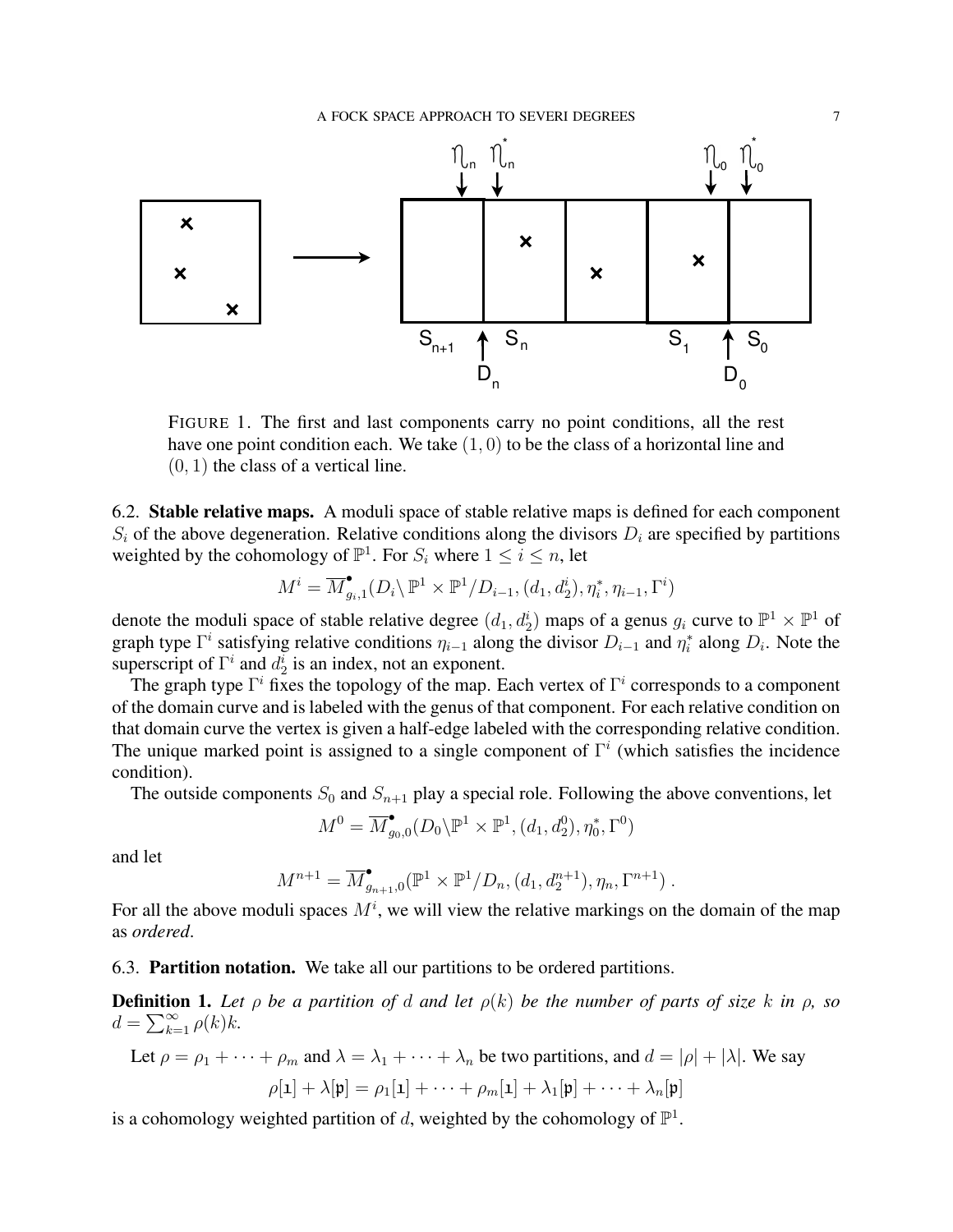

FIGURE 1. The first and last components carry no point conditions, all the rest have one point condition each. We take  $(1, 0)$  to be the class of a horizontal line and  $(0, 1)$  the class of a vertical line.

6.2. Stable relative maps. A moduli space of stable relative maps is defined for each component  $S_i$  of the above degeneration. Relative conditions along the divisors  $D_i$  are specified by partitions weighted by the cohomology of  $\mathbb{P}^1$ . For  $S_i$  where  $1 \leq i \leq n$ , let

$$
M^i=\overline{M}^{\bullet}_{g_i,1}(D_i\backslash\mathbb{P}^1\times\mathbb{P}^1/D_{i-1},(d_1,d_2^i),\eta_i^*,\eta_{i-1},\Gamma^i)
$$

denote the moduli space of stable relative degree  $(d_1, d_2^i)$  maps of a genus  $g_i$  curve to  $\mathbb{P}^1 \times \mathbb{P}^1$  of graph type  $\Gamma^i$  satisfying relative conditions  $\eta_{i-1}$  along the divisor  $D_{i-1}$  and  $\eta_i^*$  along  $D_i$ . Note the superscript of  $\Gamma^i$  and  $d_2^i$  is an index, not an exponent.

The graph type  $\Gamma^i$  fixes the topology of the map. Each vertex of  $\Gamma^i$  corresponds to a component of the domain curve and is labeled with the genus of that component. For each relative condition on that domain curve the vertex is given a half-edge labeled with the corresponding relative condition. The unique marked point is assigned to a single component of  $\Gamma^i$  (which satisfies the incidence condition).

The outside components  $S_0$  and  $S_{n+1}$  play a special role. Following the above conventions, let

$$
M^0 = \overline{M}_{g_0,0}^{\bullet}(D_0 \backslash \mathbb{P}^1 \times \mathbb{P}^1, (d_1, d_2^0), \eta_0^*, \Gamma^0)
$$

and let

$$
M^{n+1} = \overline{M}_{g_{n+1},0}^{\bullet}(\mathbb{P}^1 \times \mathbb{P}^1/D_n, (d_1, d_2^{n+1}), \eta_n, \Gamma^{n+1}).
$$

For all the above moduli spaces  $M^i$ , we will view the relative markings on the domain of the map as *ordered*.

6.3. Partition notation. We take all our partitions to be ordered partitions.

**Definition 1.** Let  $\rho$  be a partition of d and let  $\rho(k)$  be the number of parts of size k in  $\rho$ , so  $d = \sum_{k=1}^{\infty} \rho(k)k.$ 

Let 
$$
\rho = \rho_1 + \cdots + \rho_m
$$
 and  $\lambda = \lambda_1 + \cdots + \lambda_n$  be two partitions, and  $d = |\rho| + |\lambda|$ . We say  
\n
$$
\rho[\mathbf{1}] + \lambda[\mathbf{p}] = \rho_1[\mathbf{1}] + \cdots + \rho_m[\mathbf{1}] + \lambda_1[\mathbf{p}] + \cdots + \lambda_n[\mathbf{p}]
$$

is a cohomology weighted partition of d, weighted by the cohomology of  $\mathbb{P}^1$ .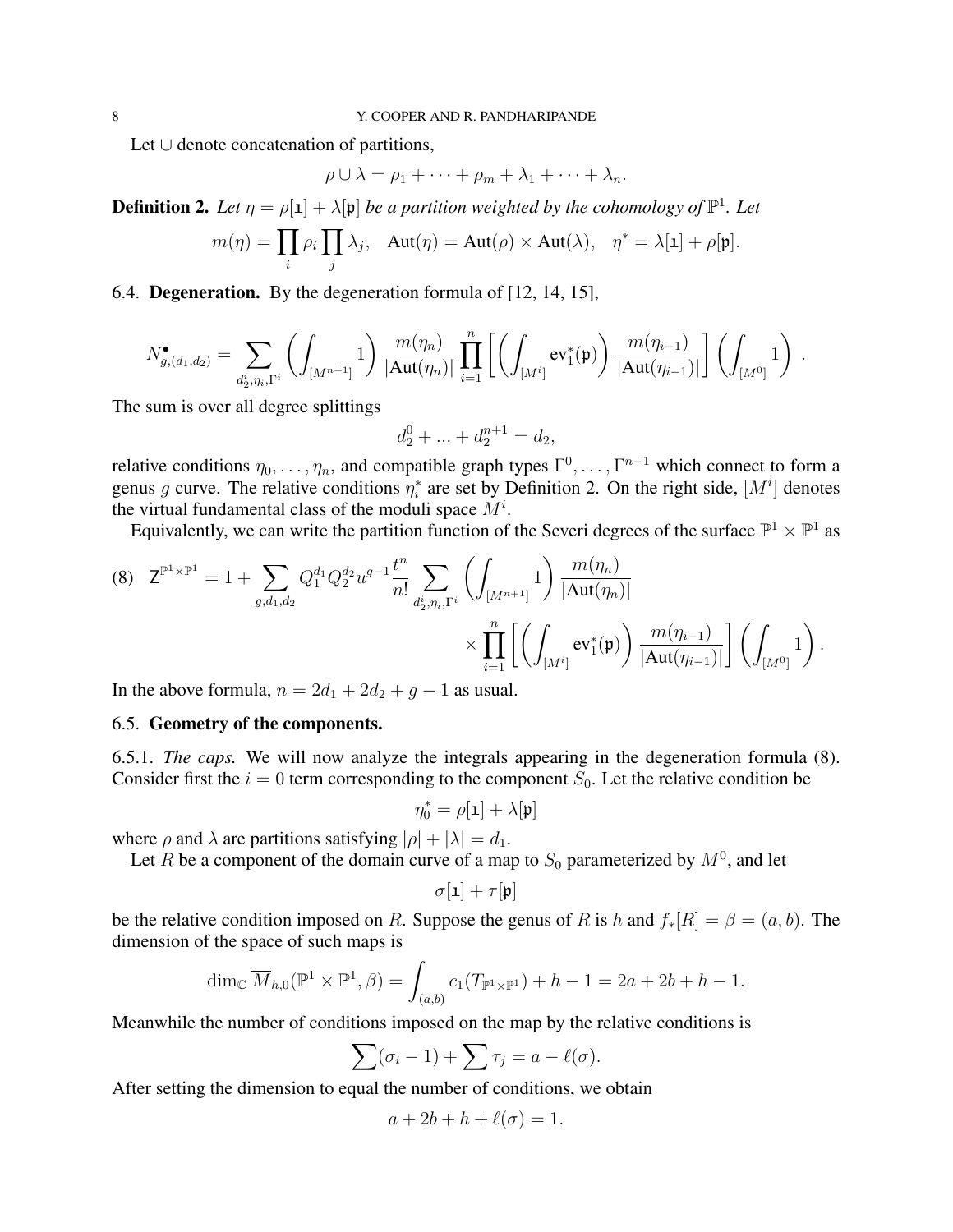Let ∪ denote concatenation of partitions,

$$
\rho \cup \lambda = \rho_1 + \cdots + \rho_m + \lambda_1 + \cdots + \lambda_n.
$$

**Definition 2.** Let  $\eta = \rho[1] + \lambda[\mathfrak{p}]$  be a partition weighted by the cohomology of  $\mathbb{P}^1$ . Let

$$
m(\eta) = \prod_i \rho_i \prod_j \lambda_j, \quad \text{Aut}(\eta) = \text{Aut}(\rho) \times \text{Aut}(\lambda), \quad \eta^* = \lambda[\mathbf{1}] + \rho[\mathbf{p}].
$$

6.4. Degeneration. By the degeneration formula of [12, 14, 15],

$$
N_{g,(d_1,d_2)}^{\bullet} = \sum_{d_2^i,\eta_i,\Gamma^i} \left( \int_{[M^{n+1}]} 1 \right) \frac{m(\eta_n)}{|\text{Aut}(\eta_n)|} \prod_{i=1}^n \left[ \left( \int_{[M^i]} ev_1^*(\mathfrak{p}) \right) \frac{m(\eta_{i-1})}{|\text{Aut}(\eta_{i-1})|} \right] \left( \int_{[M^0]} 1 \right) .
$$

The sum is over all degree splittings

$$
d_2^0 + \ldots + d_2^{n+1} = d_2,
$$

relative conditions  $\eta_0, \ldots, \eta_n$ , and compatible graph types  $\Gamma^0, \ldots, \Gamma^{n+1}$  which connect to form a genus g curve. The relative conditions  $\eta_i^*$  are set by Definition 2. On the right side,  $[M^i]$  denotes the virtual fundamental class of the moduli space  $M^i$ .

Equivalently, we can write the partition function of the Severi degrees of the surface  $\mathbb{P}^1 \times \mathbb{P}^1$  as

$$
(8) \quad Z^{\mathbb{P}^{1}\times\mathbb{P}^{1}} = 1 + \sum_{g,d_{1},d_{2}} Q_{1}^{d_{1}} Q_{2}^{d_{2}} u^{g-1} \frac{t^{n}}{n!} \sum_{d_{2}^{i},\eta_{i},\Gamma^{i}} \left( \int_{[M^{n+1}]} 1 \right) \frac{m(\eta_{n})}{|\text{Aut}(\eta_{n})|} \times \prod_{i=1}^{n} \left[ \left( \int_{[M^{i}]} \text{ev}_{1}^{*}(\textbf{p}) \right) \frac{m(\eta_{i-1})}{|\text{Aut}(\eta_{i-1})|} \right] \left( \int_{[M^{0}]} 1 \right).
$$

In the above formula,  $n = 2d_1 + 2d_2 + g - 1$  as usual.

### 6.5. Geometry of the components.

6.5.1. *The caps.* We will now analyze the integrals appearing in the degeneration formula (8). Consider first the  $i = 0$  term corresponding to the component  $S_0$ . Let the relative condition be

 $\eta_0^* = \rho[\mathbf{1}] + \lambda[\mathbf{p}]$ 

where  $\rho$  and  $\lambda$  are partitions satisfying  $|\rho| + |\lambda| = d_1$ .

Let R be a component of the domain curve of a map to  $S_0$  parameterized by  $M<sup>0</sup>$ , and let

$$
\sigma[\textbf{1}] + \tau[\textbf{p}]
$$

be the relative condition imposed on R. Suppose the genus of R is h and  $f_*[R] = \beta = (a, b)$ . The dimension of the space of such maps is

$$
\dim_{\mathbb{C}} \overline{M}_{h,0}(\mathbb{P}^1 \times \mathbb{P}^1, \beta) = \int_{(a,b)} c_1(T_{\mathbb{P}^1 \times \mathbb{P}^1}) + h - 1 = 2a + 2b + h - 1.
$$

Meanwhile the number of conditions imposed on the map by the relative conditions is

$$
\sum(\sigma_i-1)+\sum\tau_j=a-\ell(\sigma).
$$

After setting the dimension to equal the number of conditions, we obtain

$$
a + 2b + h + \ell(\sigma) = 1.
$$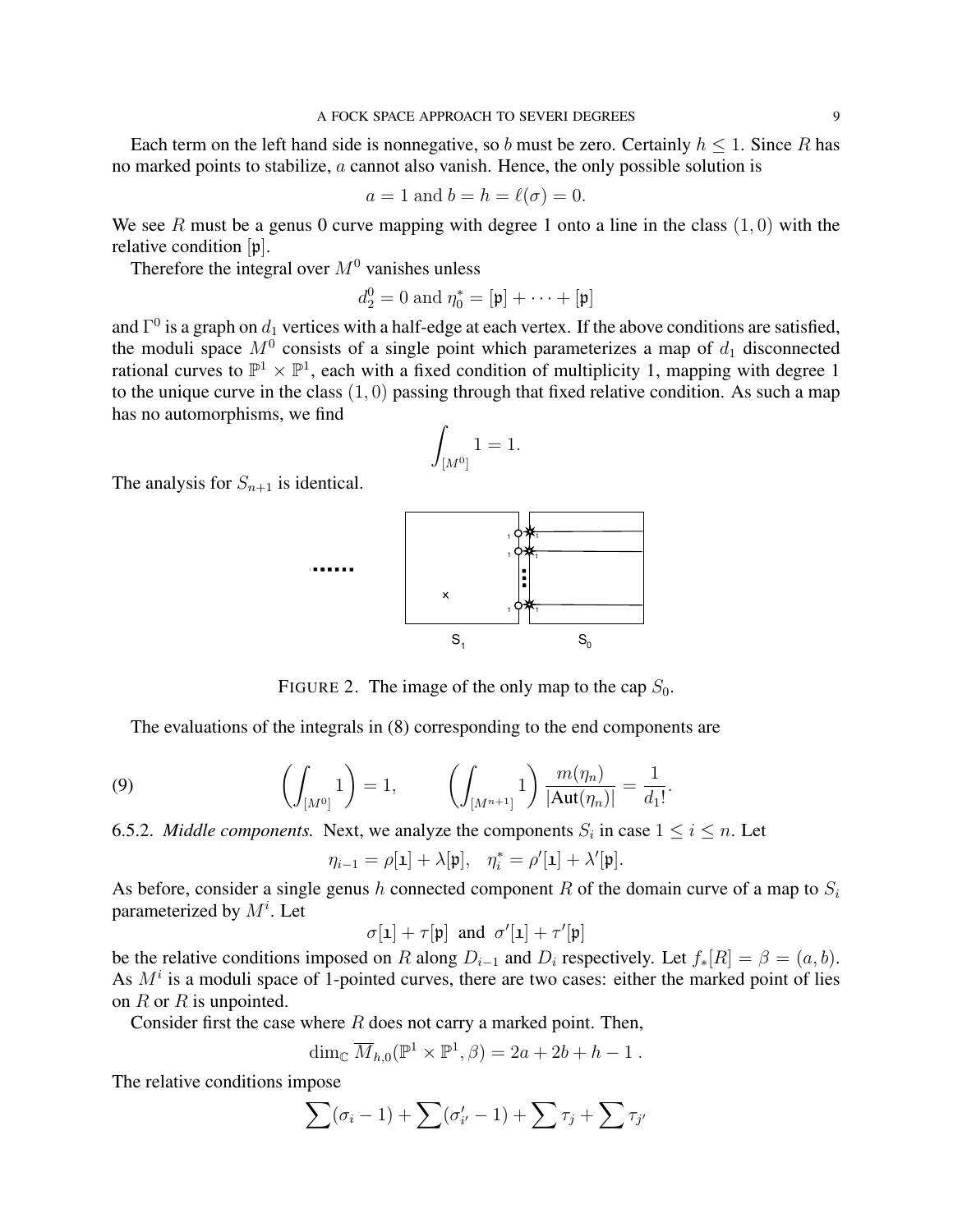Each term on the left hand side is nonnegative, so b must be zero. Certainly  $h \leq 1$ . Since R has no marked points to stabilize, a cannot also vanish. Hence, the only possible solution is

$$
a = 1 \text{ and } b = h = \ell(\sigma) = 0.
$$

We see R must be a genus 0 curve mapping with degree 1 onto a line in the class  $(1, 0)$  with the relative condition [p].

Therefore the integral over  $M<sup>0</sup>$  vanishes unless

$$
d_2^0 = 0 \text{ and } \eta_0^* = [\mathfrak{p}] + \cdots + [\mathfrak{p}]
$$

and  $\Gamma^0$  is a graph on  $d_1$  vertices with a half-edge at each vertex. If the above conditions are satisfied, the moduli space  $M^0$  consists of a single point which parameterizes a map of  $d_1$  disconnected rational curves to  $\mathbb{P}^1 \times \mathbb{P}^1$ , each with a fixed condition of multiplicity 1, mapping with degree 1 to the unique curve in the class  $(1, 0)$  passing through that fixed relative condition. As such a map has no automorphisms, we find

$$
\int_{[M^0]} 1 = 1.
$$

The analysis for  $S_{n+1}$  is identical.



FIGURE 2. The image of the only map to the cap  $S_0$ .

The evaluations of the integrals in (8) corresponding to the end components are

(9) 
$$
\left(\int_{[M^0]} 1\right) = 1, \qquad \left(\int_{[M^{n+1}]} 1\right) \frac{m(\eta_n)}{|\text{Aut}(\eta_n)|} = \frac{1}{d_1!}.
$$

6.5.2. *Middle components*. Next, we analyze the components  $S_i$  in case  $1 \le i \le n$ . Let

$$
\eta_{i-1} = \rho[\mathbf{1}] + \lambda[\mathfrak{p}], \quad \eta_i^* = \rho'[\mathbf{1}] + \lambda'[\mathfrak{p}].
$$

As before, consider a single genus h connected component R of the domain curve of a map to  $S_i$ parameterized by  $M^i$ . Let

$$
\sigma[\mathbf{1}]+\tau[\mathfrak{p}]\;\;\text{and}\;\;\sigma'[\mathbf{1}]+\tau'[\mathfrak{p}]
$$

be the relative conditions imposed on R along  $D_{i-1}$  and  $D_i$  respectively. Let  $f_*[R] = \beta = (a, b)$ . As  $M<sup>i</sup>$  is a moduli space of 1-pointed curves, there are two cases: either the marked point of lies on  $R$  or  $R$  is unpointed.

Consider first the case where  $R$  does not carry a marked point. Then,

$$
\dim_{\mathbb{C}} \overline{M}_{h,0}(\mathbb{P}^1 \times \mathbb{P}^1, \beta) = 2a + 2b + h - 1.
$$

The relative conditions impose

$$
\sum(\sigma_i-1)+\sum(\sigma'_{i'}-1)+\sum\tau_j+\sum\tau_{j'}
$$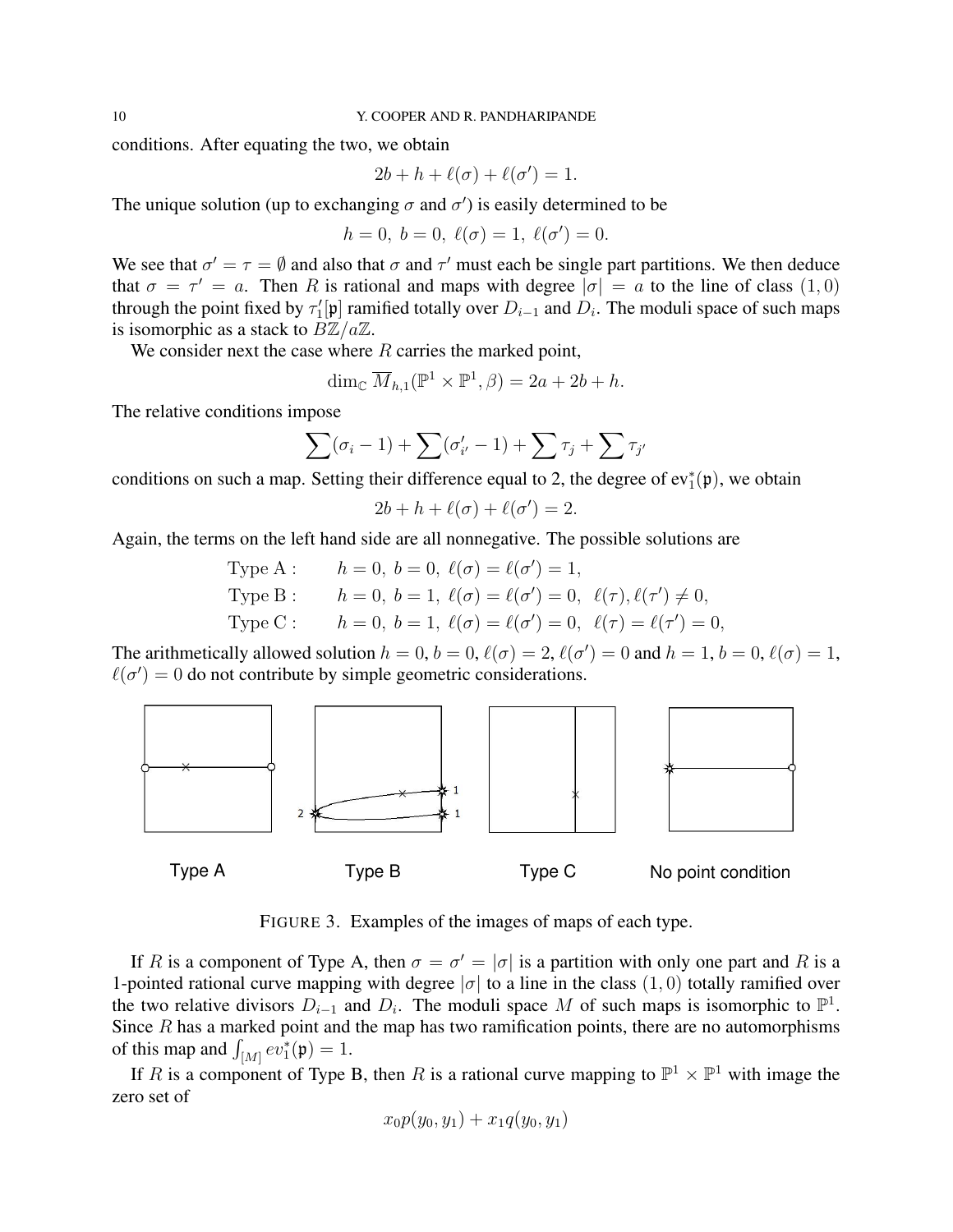conditions. After equating the two, we obtain

$$
2b + h + \ell(\sigma) + \ell(\sigma') = 1.
$$

The unique solution (up to exchanging  $\sigma$  and  $\sigma'$ ) is easily determined to be

$$
h = 0, b = 0, \ell(\sigma) = 1, \ell(\sigma') = 0.
$$

We see that  $\sigma' = \tau = \emptyset$  and also that  $\sigma$  and  $\tau'$  must each be single part partitions. We then deduce that  $\sigma = \tau' = a$ . Then R is rational and maps with degree  $|\sigma| = a$  to the line of class  $(1, 0)$ through the point fixed by  $\tau'_1[\mathfrak{p}]$  ramified totally over  $D_{i-1}$  and  $D_i$ . The moduli space of such maps is isomorphic as a stack to  $B\mathbb{Z}/a\mathbb{Z}$ .

We consider next the case where  $R$  carries the marked point,

$$
\dim_{\mathbb{C}} \overline{M}_{h,1}(\mathbb{P}^1 \times \mathbb{P}^1, \beta) = 2a + 2b + h.
$$

The relative conditions impose

$$
\sum(\sigma_i-1)+\sum(\sigma'_{i'}-1)+\sum\tau_j+\sum\tau_{j'}
$$

conditions on such a map. Setting their difference equal to 2, the degree of  $ev_1^*(p)$ , we obtain

$$
2b + h + \ell(\sigma) + \ell(\sigma') = 2.
$$

Again, the terms on the left hand side are all nonnegative. The possible solutions are

Type A : 
$$
h = 0
$$
,  $b = 0$ ,  $\ell(\sigma) = \ell(\sigma') = 1$ ,  
\nType B :  $h = 0$ ,  $b = 1$ ,  $\ell(\sigma) = \ell(\sigma') = 0$ ,  $\ell(\tau)$ ,  $\ell(\tau') \neq 0$ ,  
\nType C :  $h = 0$ ,  $b = 1$ ,  $\ell(\sigma) = \ell(\sigma') = 0$ ,  $\ell(\tau) = \ell(\tau') = 0$ ,

The arithmetically allowed solution  $h = 0$ ,  $b = 0$ ,  $\ell(\sigma) = 2$ ,  $\ell(\sigma') = 0$  and  $h = 1$ ,  $b = 0$ ,  $\ell(\sigma) = 1$ ,  $\ell(\sigma') = 0$  do not contribute by simple geometric considerations.



FIGURE 3. Examples of the images of maps of each type.

If R is a component of Type A, then  $\sigma = \sigma' = |\sigma|$  is a partition with only one part and R is a 1-pointed rational curve mapping with degree  $|\sigma|$  to a line in the class  $(1, 0)$  totally ramified over the two relative divisors  $D_{i-1}$  and  $D_i$ . The moduli space M of such maps is isomorphic to  $\mathbb{P}^1$ . Since  $R$  has a marked point and the map has two ramification points, there are no automorphisms of this map and  $\int_{[M]} ev_1^*(p) = 1$ .

If R is a component of Type B, then R is a rational curve mapping to  $\mathbb{P}^1 \times \mathbb{P}^1$  with image the zero set of

$$
x_0 p(y_0, y_1) + x_1 q(y_0, y_1)
$$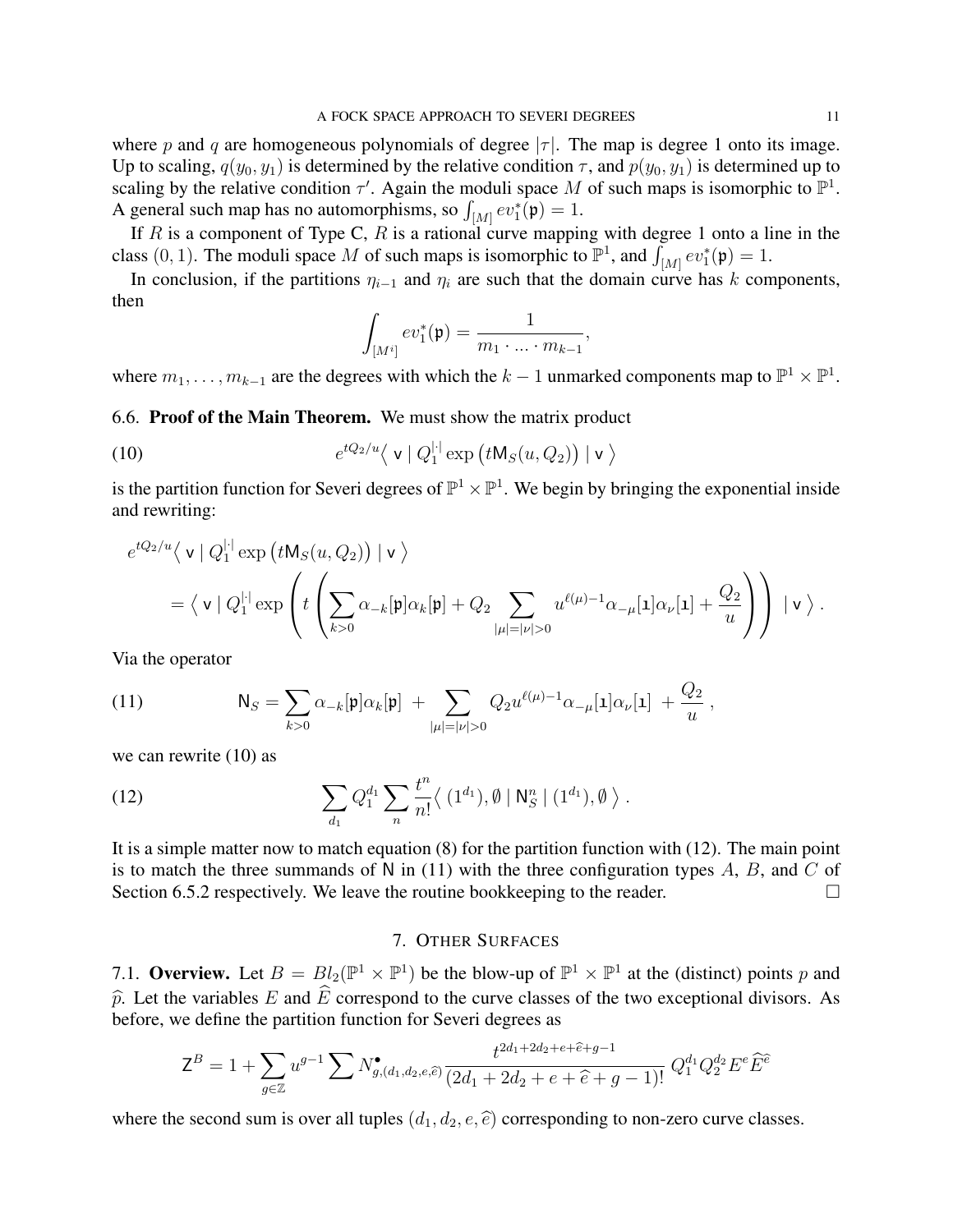where p and q are homogeneous polynomials of degree  $|\tau|$ . The map is degree 1 onto its image. Up to scaling,  $q(y_0, y_1)$  is determined by the relative condition  $\tau$ , and  $p(y_0, y_1)$  is determined up to scaling by the relative condition  $\tau'$ . Again the moduli space M of such maps is isomorphic to  $\mathbb{P}^1$ . A general such map has no automorphisms, so  $\int_{[M]} ev_1^*(p) = 1$ .

If R is a component of Type C, R is a rational curve mapping with degree 1 onto a line in the class (0, 1). The moduli space M of such maps is isomorphic to  $\mathbb{P}^1$ , and  $\int_{[M]} \epsilon v_1^*(\mathfrak{p}) = 1$ .

In conclusion, if the partitions  $\eta_{i-1}$  and  $\eta_i$  are such that the domain curve has k components, then

$$
\int_{[M^i]} ev_1^*(\mathfrak{p}) = \frac{1}{m_1 \cdot \ldots \cdot m_{k-1}},
$$

where  $m_1, \ldots, m_{k-1}$  are the degrees with which the  $k-1$  unmarked components map to  $\mathbb{P}^1 \times \mathbb{P}^1$ .

6.6. Proof of the Main Theorem. We must show the matrix product

(10) 
$$
e^{tQ_2/u}\langle \mathbf{v} | Q_1^{|\cdot|} \exp (t \mathsf{M}_S(u, Q_2)) | \mathbf{v} \rangle
$$

is the partition function for Severi degrees of  $\mathbb{P}^1 \times \mathbb{P}^1$ . We begin by bringing the exponential inside and rewriting:

$$
e^{tQ_2/u}\langle \mathbf{v} | Q_1^{|\cdot|} \exp(tM_S(u,Q_2)) | \mathbf{v} \rangle
$$
  
=  $\langle \mathbf{v} | Q_1^{|\cdot|} \exp\left(t\left(\sum_{k>0} \alpha_{-k}[\mathfrak{p}] \alpha_k[\mathfrak{p}] + Q_2 \sum_{|\mu|=|\nu|>0} u^{\ell(\mu)-1} \alpha_{-\mu}[1] \alpha_{\nu}[1] + \frac{Q_2}{u}\right) \right) | \mathbf{v} \rangle.$ 

Via the operator

(11) 
$$
\mathsf{N}_S = \sum_{k>0} \alpha_{-k}[\mathfrak{p}] \alpha_k[\mathfrak{p}] + \sum_{|\mu|=|\nu|>0} Q_2 u^{\ell(\mu)-1} \alpha_{-\mu}[\mathbf{1}] \alpha_{\nu}[\mathbf{1}] + \frac{Q_2}{u}
$$

we can rewrite  $(10)$  as

(12) 
$$
\sum_{d_1} Q_1^{d_1} \sum_n \frac{t^n}{n!} \langle (1^{d_1}), \emptyset | N_S^n | (1^{d_1}), \emptyset \rangle.
$$

It is a simple matter now to match equation (8) for the partition function with (12). The main point is to match the three summands of N in  $(11)$  with the three configuration types A, B, and C of Section 6.5.2 respectively. We leave the routine bookkeeping to the reader.

# 7. OTHER SURFACES

7.1. Overview. Let  $B = Bl_2(\mathbb{P}^1 \times \mathbb{P}^1)$  be the blow-up of  $\mathbb{P}^1 \times \mathbb{P}^1$  at the (distinct) points p and  $\hat{p}$ . Let the variables E and  $\hat{E}$  correspond to the curve classes of the two exceptional divisors. As before, we define the partition function for Severi degrees as

$$
\mathsf{Z}^{B} = 1 + \sum_{g \in \mathbb{Z}} u^{g-1} \sum N_{g,(d_1,d_2,e,\widehat{e})}^{\bullet} \frac{t^{2d_1+2d_2+e+\widehat{e}+g-1}}{(2d_1+2d_2+e+\widehat{e}+g-1)!} Q_1^{d_1} Q_2^{d_2} E^e \widehat{E}^{\widehat{e}}
$$

where the second sum is over all tuples  $(d_1, d_2, e, \hat{e})$  corresponding to non-zero curve classes.

,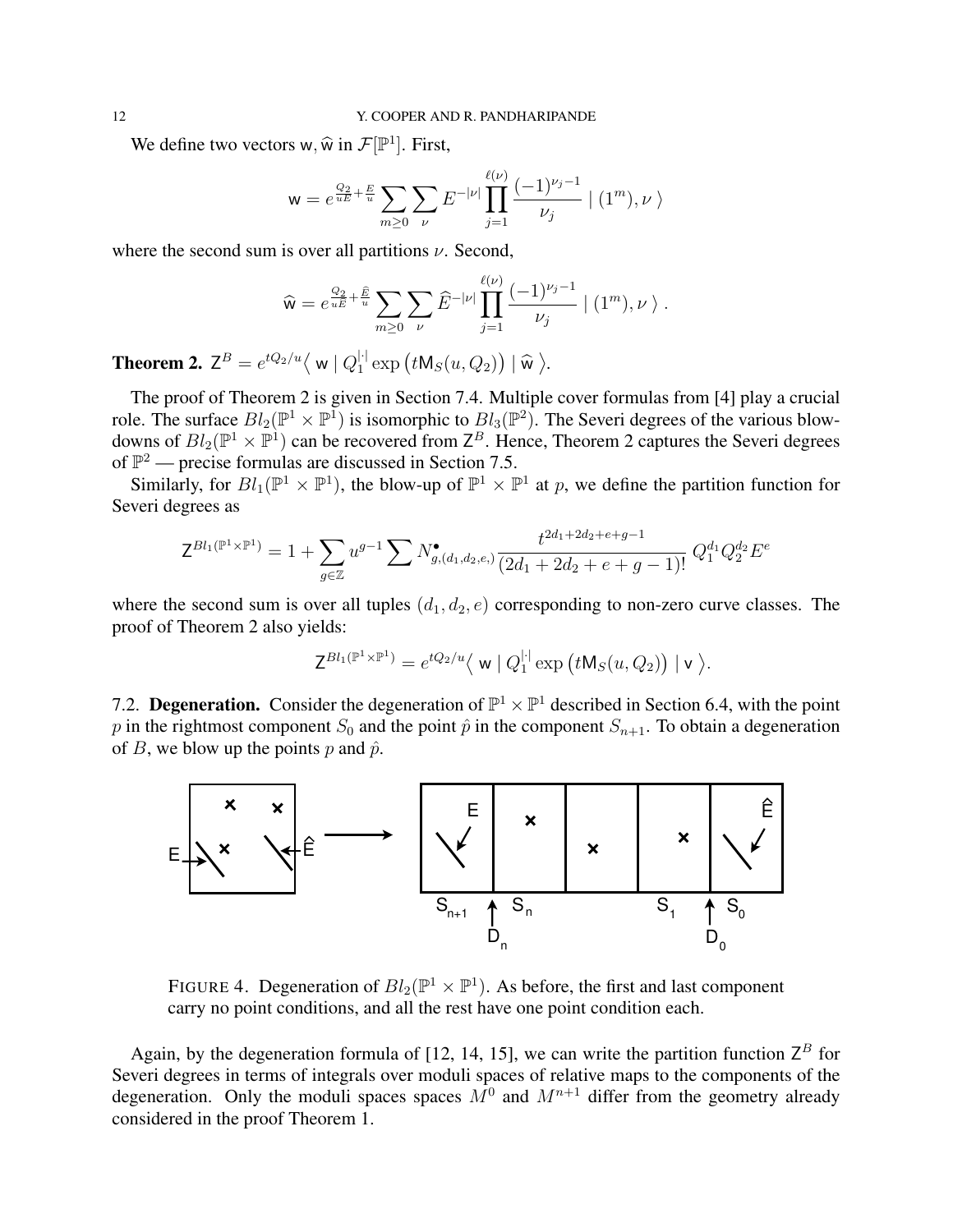We define two vectors w,  $\widehat{w}$  in  $\mathcal{F}[\mathbb{P}^1]$ . First,

$$
\mathsf{w} = e^{\frac{Q_2}{uE} + \frac{E}{u}} \sum_{m \ge 0} \sum_{\nu} E^{-|\nu|} \prod_{j=1}^{\ell(\nu)} \frac{(-1)^{\nu_j - 1}}{\nu_j} \mid (1^m), \nu \rangle
$$

where the second sum is over all partitions  $\nu$ . Second,

$$
\widehat{\mathsf{w}} = e^{\frac{Q_2}{u\widehat{E}} + \frac{\widehat{E}}{u}} \sum_{m \geq 0} \sum_{\nu} \widehat{E}^{-|\nu|} \prod_{j=1}^{\ell(\nu)} \frac{(-1)^{\nu_j - 1}}{\nu_j} \mid (1^m), \nu \rangle.
$$

**Theorem 2.**  $\mathsf{Z}^B = e^{tQ_2/u} \langle \mathsf{w} | Q_1^{|\cdot|} \rangle$  $i_1^{\dagger}$  exp  $\left(t\mathsf{M}_S(u,Q_2)\right) \mid \widehat{\mathsf{w}}\rangle$ .

The proof of Theorem 2 is given in Section 7.4. Multiple cover formulas from [4] play a crucial role. The surface  $Bl_2(\mathbb{P}^1 \times \mathbb{P}^1)$  is isomorphic to  $Bl_3(\mathbb{P}^2)$ . The Severi degrees of the various blowdowns of  $Bl_2(\mathbb{P}^1 \times \mathbb{P}^1)$  can be recovered from  $\mathsf{Z}^B$ . Hence, Theorem 2 captures the Severi degrees of  $\mathbb{P}^2$  — precise formulas are discussed in Section 7.5.

Similarly, for  $Bl_1(\mathbb{P}^1 \times \mathbb{P}^1)$ , the blow-up of  $\mathbb{P}^1 \times \mathbb{P}^1$  at p, we define the partition function for Severi degrees as

$$
\mathsf{Z}^{Bl_1(\mathbb{P}^1 \times \mathbb{P}^1)} = 1 + \sum_{g \in \mathbb{Z}} u^{g-1} \sum N_{g,(d_1,d_2,e)}^{\bullet} \frac{t^{2d_1+2d_2+e+g-1}}{(2d_1+2d_2+e+g-1)!} Q_1^{d_1} Q_2^{d_2} E^e
$$

where the second sum is over all tuples  $(d_1, d_2, e)$  corresponding to non-zero curve classes. The proof of Theorem 2 also yields:

$$
\mathsf{Z}^{Bl_1(\mathbb{P}^1\times\mathbb{P}^1)}=e^{tQ_2/u}\langle\mathbf{w}\mid Q_1^{\lvert\cdot\rvert}\exp\big(t\mathsf{M}_S(u,Q_2)\big)\mid\mathbf{v}\rangle.
$$

7.2. Degeneration. Consider the degeneration of  $\mathbb{P}^1 \times \mathbb{P}^1$  described in Section 6.4, with the point p in the rightmost component  $S_0$  and the point  $\hat{p}$  in the component  $S_{n+1}$ . To obtain a degeneration of B, we blow up the points p and  $\hat{p}$ .



FIGURE 4. Degeneration of  $Bl_2(\mathbb{P}^1 \times \mathbb{P}^1)$ . As before, the first and last component carry no point conditions, and all the rest have one point condition each.

Again, by the degeneration formula of [12, 14, 15], we can write the partition function  $Z^B$  for Severi degrees in terms of integrals over moduli spaces of relative maps to the components of the degeneration. Only the moduli spaces spaces  $M^0$  and  $M^{n+1}$  differ from the geometry already considered in the proof Theorem 1.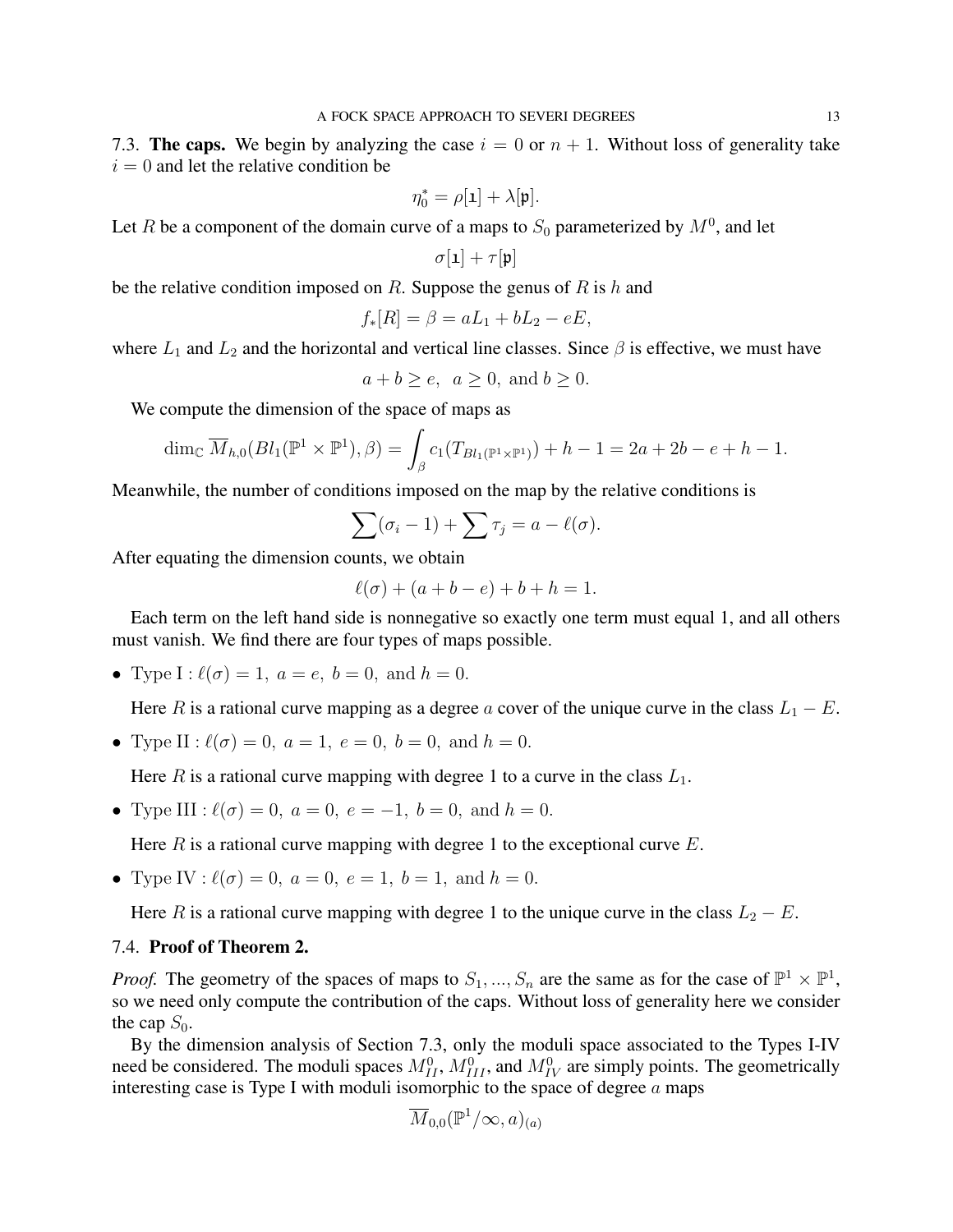7.3. The caps. We begin by analyzing the case  $i = 0$  or  $n + 1$ . Without loss of generality take  $i = 0$  and let the relative condition be

$$
\eta_0^* = \rho[\mathbf{1}] + \lambda[\mathfrak{p}].
$$

Let R be a component of the domain curve of a maps to  $S_0$  parameterized by  $M^0$ , and let

$$
\sigma[\mathbf{1}] + \tau[\mathbf{p}]
$$

be the relative condition imposed on R. Suppose the genus of R is h and

$$
f_*[R] = \beta = aL_1 + bL_2 - eE,
$$

where  $L_1$  and  $L_2$  and the horizontal and vertical line classes. Since  $\beta$  is effective, we must have

$$
a + b \ge e, \ a \ge 0, \text{ and } b \ge 0.
$$

We compute the dimension of the space of maps as

$$
\dim_{\mathbb{C}} \overline{M}_{h,0}(Bl_1(\mathbb{P}^1 \times \mathbb{P}^1), \beta) = \int_{\beta} c_1(T_{Bl_1(\mathbb{P}^1 \times \mathbb{P}^1)}) + h - 1 = 2a + 2b - e + h - 1.
$$

Meanwhile, the number of conditions imposed on the map by the relative conditions is

$$
\sum(\sigma_i-1)+\sum\tau_j=a-\ell(\sigma).
$$

After equating the dimension counts, we obtain

$$
\ell(\sigma) + (a + b - e) + b + h = 1.
$$

Each term on the left hand side is nonnegative so exactly one term must equal 1, and all others must vanish. We find there are four types of maps possible.

• Type  $I : \ell(\sigma) = 1, a = e, b = 0, \text{ and } h = 0.$ 

Here R is a rational curve mapping as a degree a cover of the unique curve in the class  $L_1 - E$ .

• Type II :  $\ell(\sigma) = 0$ ,  $a = 1$ ,  $e = 0$ ,  $b = 0$ , and  $h = 0$ .

Here R is a rational curve mapping with degree 1 to a curve in the class  $L_1$ .

• Type III :  $\ell(\sigma) = 0$ ,  $a = 0$ ,  $e = -1$ ,  $b = 0$ , and  $h = 0$ .

Here  $R$  is a rational curve mapping with degree 1 to the exceptional curve  $E$ .

• Type IV :  $\ell(\sigma) = 0$ ,  $a = 0$ ,  $e = 1$ ,  $b = 1$ , and  $h = 0$ .

Here R is a rational curve mapping with degree 1 to the unique curve in the class  $L_2 - E$ .

# 7.4. Proof of Theorem 2.

*Proof.* The geometry of the spaces of maps to  $S_1, ..., S_n$  are the same as for the case of  $\mathbb{P}^1 \times \mathbb{P}^1$ , so we need only compute the contribution of the caps. Without loss of generality here we consider the cap  $S_0$ .

By the dimension analysis of Section 7.3, only the moduli space associated to the Types I-IV need be considered. The moduli spaces  $M_{II}^0$ ,  $M_{III}^0$ , and  $M_{IV}^0$  are simply points. The geometrically interesting case is Type I with moduli isomorphic to the space of degree  $a$  maps

$$
\overline{M}_{0,0}(\mathbb{P}^1/\infty,a)_{(a)}
$$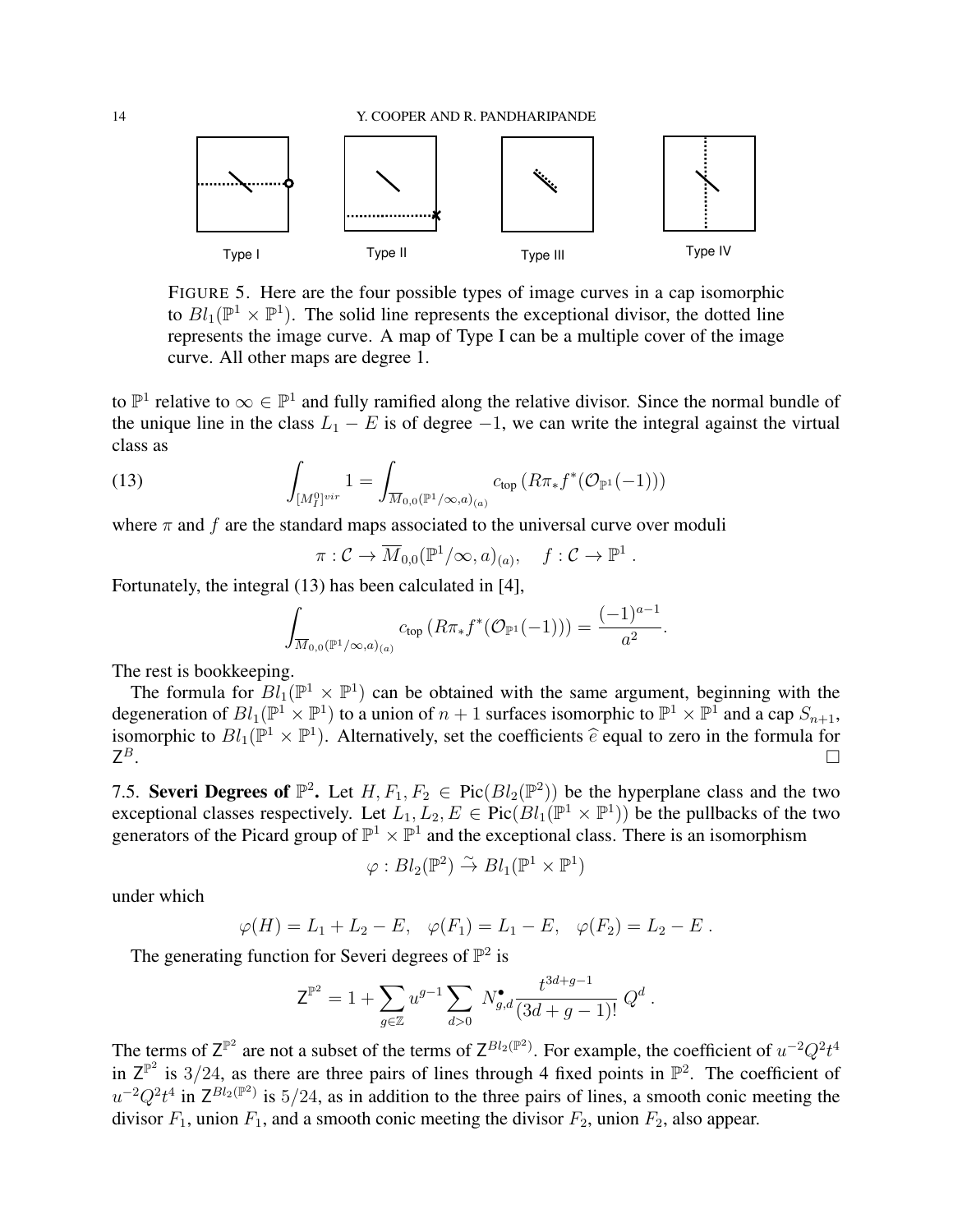

FIGURE 5. Here are the four possible types of image curves in a cap isomorphic to  $Bl_1(\mathbb{P}^1 \times \mathbb{P}^1)$ . The solid line represents the exceptional divisor, the dotted line represents the image curve. A map of Type I can be a multiple cover of the image curve. All other maps are degree 1.

to  $\mathbb{P}^1$  relative to  $\infty \in \mathbb{P}^1$  and fully ramified along the relative divisor. Since the normal bundle of the unique line in the class  $L_1 - E$  is of degree  $-1$ , we can write the integral against the virtual class as

(13) 
$$
\int_{[M_I^0]^{vir}} 1 = \int_{\overline{M}_{0,0}(\mathbb{P}^1/\infty,a)_{(a)}} c_{top} (R\pi_* f^* (\mathcal{O}_{\mathbb{P}^1}(-1)))
$$

where  $\pi$  and  $f$  are the standard maps associated to the universal curve over moduli

$$
\pi: \mathcal{C} \to \overline{M}_{0,0}(\mathbb{P}^1/\infty, a)_{(a)}, \quad f: \mathcal{C} \to \mathbb{P}^1.
$$

Fortunately, the integral (13) has been calculated in [4],

$$
\int_{\overline{M}_{0,0}(\mathbb{P}^1/\infty,a)_{(a)}} c_{\text{top}} \left( R \pi_* f^* (\mathcal{O}_{\mathbb{P}^1}(-1)) \right) = \frac{(-1)^{a-1}}{a^2}.
$$

The rest is bookkeeping.

The formula for  $Bl_1(\mathbb{P}^1 \times \mathbb{P}^1)$  can be obtained with the same argument, beginning with the degeneration of  $Bl_1(\mathbb{P}^1 \times \mathbb{P}^1)$  to a union of  $n+1$  surfaces isomorphic to  $\mathbb{P}^1 \times \mathbb{P}^1$  and a cap  $S_{n+1}$ , isomorphic to  $Bl_1(\mathbb{P}^1 \times \mathbb{P}^1)$ . Alternatively, set the coefficients  $\hat{e}$  equal to zero in the formula for  $\mathsf{Z}^B$ .  $Z^B$ .

7.5. Severi Degrees of  $\mathbb{P}^2$ . Let  $H, F_1, F_2 \in Pic(Bl_2(\mathbb{P}^2))$  be the hyperplane class and the two exceptional classes respectively. Let  $L_1, L_2, E \in Pic(Bl_1(\mathbb{P}^1 \times \mathbb{P}^1))$  be the pullbacks of the two generators of the Picard group of  $\mathbb{P}^1 \times \mathbb{P}^1$  and the exceptional class. There is an isomorphism

$$
\varphi: Bl_2(\mathbb{P}^2) \overset{\sim}{\to} Bl_1(\mathbb{P}^1 \times \mathbb{P}^1)
$$

under which

$$
\varphi(H) = L_1 + L_2 - E
$$
,  $\varphi(F_1) = L_1 - E$ ,  $\varphi(F_2) = L_2 - E$ .

The generating function for Severi degrees of  $\mathbb{P}^2$  is

$$
Z^{\mathbb{P}^2} = 1 + \sum_{g \in \mathbb{Z}} u^{g-1} \sum_{d>0} N_{g,d}^{\bullet} \frac{t^{3d+g-1}}{(3d+g-1)!} Q^d.
$$

The terms of  $Z^{\mathbb{P}^2}$  are not a subset of the terms of  $Z^{Bl_2(\mathbb{P}^2)}$ . For example, the coefficient of  $u^{-2}Q^2t^4$ in  $Z^{\mathbb{P}^2}$  is 3/24, as there are three pairs of lines through 4 fixed points in  $\mathbb{P}^2$ . The coefficient of  $u^{-2}Q^2t^4$  in  $Z^{Bl_2(\mathbb{P}^2)}$  is  $5/24$ , as in addition to the three pairs of lines, a smooth conic meeting the divisor  $F_1$ , union  $F_1$ , and a smooth conic meeting the divisor  $F_2$ , union  $F_2$ , also appear.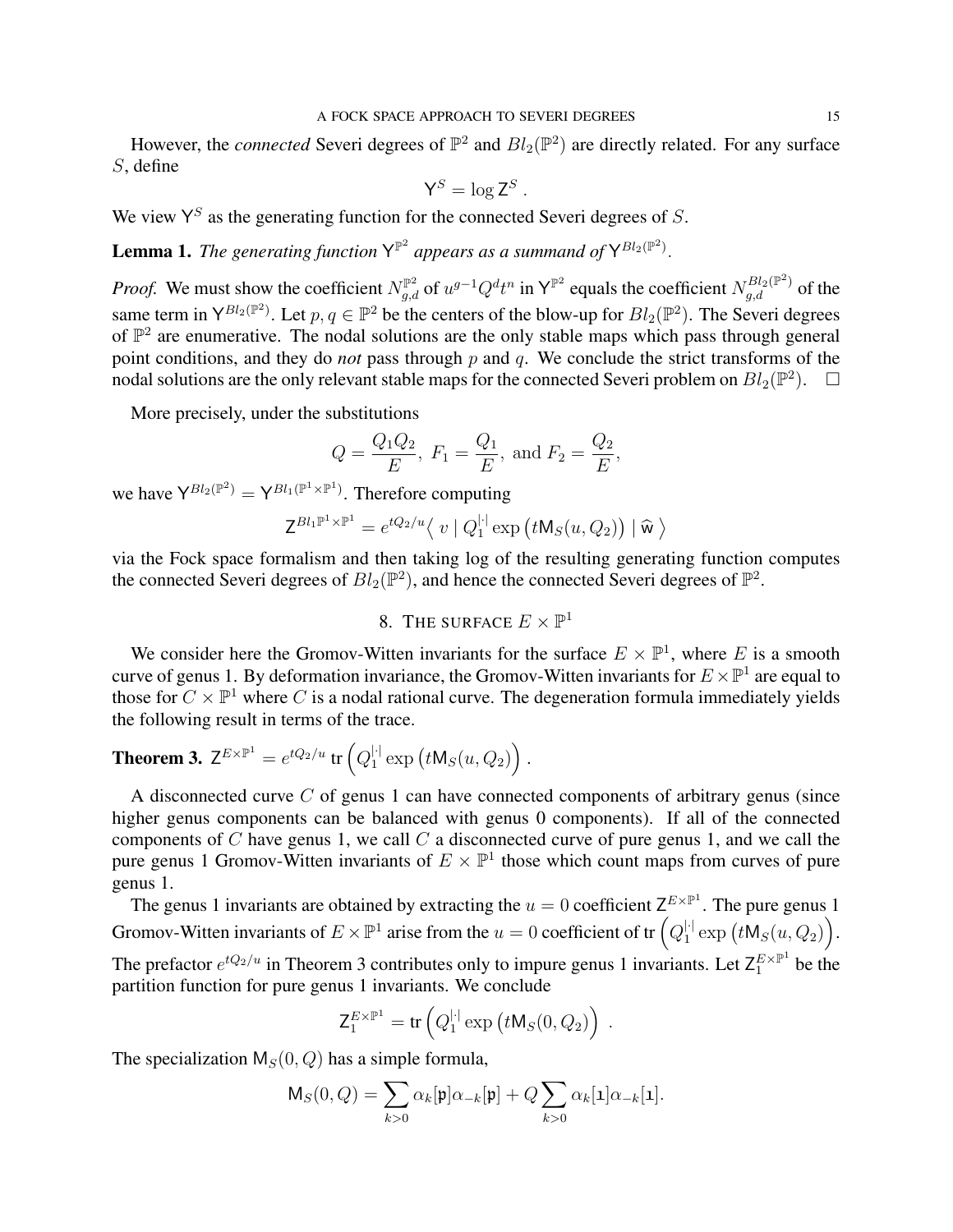However, the *connected* Severi degrees of  $\mathbb{P}^2$  and  $Bl_2(\mathbb{P}^2)$  are directly related. For any surface S, define

$$
\mathsf{Y}^S = \log \mathsf{Z}^S
$$

.

We view  $Y^S$  as the generating function for the connected Severi degrees of S.

**Lemma 1.** The generating function  $Y^{\mathbb{P}^2}$  appears as a summand of  $Y^{Bl_2(\mathbb{P}^2)}$ .

*Proof.* We must show the coefficient  $N_{g,d}^{\mathbb{P}^2}$  of  $u^{g-1}Q^dt^n$  in  $\mathsf{Y}^{\mathbb{P}^2}$  equals the coefficient  $N_{g,d}^{Bl_2(\mathbb{P}^2)}$  of the same term in  $Y^{Bl_2(\mathbb{P}^2)}$ . Let  $p, q \in \mathbb{P}^2$  be the centers of the blow-up for  $Bl_2(\mathbb{P}^2)$ . The Severi degrees of  $\mathbb{P}^2$  are enumerative. The nodal solutions are the only stable maps which pass through general point conditions, and they do *not* pass through p and q. We conclude the strict transforms of the nodal solutions are the only relevant stable maps for the connected Severi problem on  $Bl_2(\mathbb{P}^2)$ .  $\Box$ 

More precisely, under the substitutions

$$
Q = \frac{Q_1 Q_2}{E}
$$
,  $F_1 = \frac{Q_1}{E}$ , and  $F_2 = \frac{Q_2}{E}$ ,

we have  $Y^{Bl_2(\mathbb{P}^2)} = Y^{Bl_1(\mathbb{P}^1 \times \mathbb{P}^1)}$ . Therefore computing

$$
\mathsf{Z}^{Bl_1\mathbb{P}^1\times\mathbb{P}^1}=e^{tQ_2/u}\langle v\mid Q_1^{\mid\cdot}\exp\left(t\mathsf{M}_S(u,Q_2)\right)\mid \widehat{\mathsf{w}}\rangle
$$

via the Fock space formalism and then taking log of the resulting generating function computes the connected Severi degrees of  $Bl_2(\mathbb{P}^2)$ , and hence the connected Severi degrees of  $\mathbb{P}^2$ .

# 8. THE SURFACE  $E \times \mathbb{P}^1$

We consider here the Gromov-Witten invariants for the surface  $E \times \mathbb{P}^1$ , where E is a smooth curve of genus 1. By deformation invariance, the Gromov-Witten invariants for  $E \times \mathbb{P}^1$  are equal to those for  $C \times \mathbb{P}^1$  where C is a nodal rational curve. The degeneration formula immediately yields the following result in terms of the trace.

**Theorem 3.** 
$$
Z^{E\times\mathbb{P}^1} = e^{tQ_2/u}
$$
 tr  $(Q_1^{|\cdot|} \exp(tM_S(u, Q_2))$ .

A disconnected curve C of genus 1 can have connected components of arbitrary genus (since higher genus components can be balanced with genus 0 components). If all of the connected components of  $C$  have genus 1, we call  $C$  a disconnected curve of pure genus 1, and we call the pure genus 1 Gromov-Witten invariants of  $E \times \mathbb{P}^1$  those which count maps from curves of pure genus 1.

The genus 1 invariants are obtained by extracting the  $u = 0$  coefficient  $Z^{E \times \mathbb{P}^1}$ . The pure genus 1 Gromov-Witten invariants of  $E \times \mathbb{P}^1$  arise from the  $u = 0$  coefficient of tr  $\left(Q_1^{\left|\cdot\right|}\right)$  $_{1}^{||}\exp\big(t\mathsf{M}_{S}(u,Q_{2})\big).$ The prefactor  $e^{tQ_2/u}$  in Theorem 3 contributes only to impure genus 1 invariants. Let  $Z_1^{E\times\mathbb{P}^1}$  be the partition function for pure genus 1 invariants. We conclude

$$
\mathsf{Z}_1^{E \times \mathbb{P}^1} = \text{tr}\left(Q_1^{\lvert \cdot \rvert} \exp\left(t \mathsf{M}_S(0, Q_2)\right)\right).
$$

The specialization  $M_S(0, Q)$  has a simple formula,

$$
\mathsf{M}_S(0,Q) = \sum_{k>0} \alpha_k[\mathfrak{p}] \alpha_{-k}[\mathfrak{p}] + Q \sum_{k>0} \alpha_k[\mathbf{1}] \alpha_{-k}[\mathbf{1}].
$$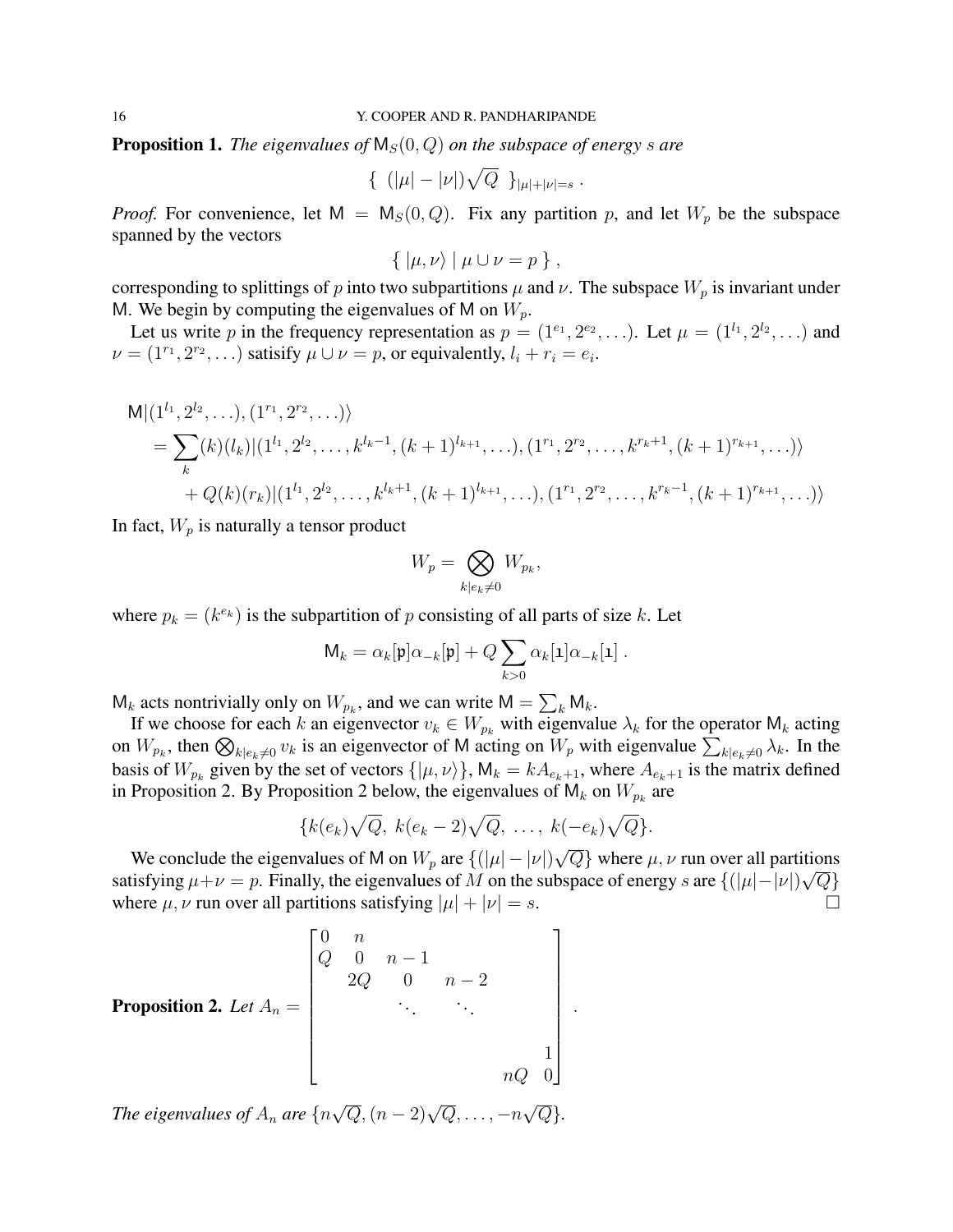**Proposition 1.** *The eigenvalues of*  $M_S(0, Q)$  *on the subspace of energy s are* 

$$
\{ (|\mu| - |\nu|) \sqrt{Q} \ }_{|\mu| + |\nu| = s} .
$$

*Proof.* For convenience, let  $M = M<sub>S</sub>(0, Q)$ . Fix any partition p, and let  $W<sub>p</sub>$  be the subspace spanned by the vectors

$$
\{ \, |\mu, \nu\rangle \mid \mu \cup \nu = p \, \},
$$

corresponding to splittings of p into two subpartitions  $\mu$  and  $\nu$ . The subspace  $W_p$  is invariant under M. We begin by computing the eigenvalues of M on  $W_p$ .

Let us write p in the frequency representation as  $p = (1^{e_1}, 2^{e_2}, \ldots)$ . Let  $\mu = (1^{l_1}, 2^{l_2}, \ldots)$  and  $\nu = (1^{r_1}, 2^{r_2}, \ldots)$  satisify  $\mu \cup \nu = p$ , or equivalently,  $l_i + r_i = e_i$ .

$$
M|(1^{l_1}, 2^{l_2}, \ldots), (1^{r_1}, 2^{r_2}, \ldots) \rangle
$$
  
=  $\sum_k (k)(l_k)| (1^{l_1}, 2^{l_2}, \ldots, k^{l_k-1}, (k+1)^{l_{k+1}}, \ldots), (1^{r_1}, 2^{r_2}, \ldots, k^{r_k+1}, (k+1)^{r_{k+1}}, \ldots) \rangle$   
+  $Q(k)(r_k)| (1^{l_1}, 2^{l_2}, \ldots, k^{l_k+1}, (k+1)^{l_{k+1}}, \ldots), (1^{r_1}, 2^{r_2}, \ldots, k^{r_k-1}, (k+1)^{r_{k+1}}, \ldots) \rangle$ 

In fact,  $W_p$  is naturally a tensor product

$$
W_p = \bigotimes_{k|e_k \neq 0} W_{p_k},
$$

where  $p_k = (k^{e_k})$  is the subpartition of p consisting of all parts of size k. Let

$$
\mathsf{M}_k = \alpha_k[\mathfrak{p}] \alpha_{-k}[\mathfrak{p}] + Q \sum_{k>0} \alpha_k[\mathbf{1}] \alpha_{-k}[\mathbf{1}].
$$

 $M_k$  acts nontrivially only on  $W_{p_k}$ , and we can write  $M = \sum_k M_k$ .

If we choose for each k an eigenvector  $v_k \in W_{p_k}$  with eigenvalue  $\lambda_k$  for the operator  $\mathsf{M}_k$  acting on  $W_{p_k}$ , then  $\bigotimes_{k|e_k\neq 0} v_k$  is an eigenvector of M acting on  $W_p$  with eigenvalue  $\sum_{k|e_k\neq 0} \lambda_k$ . In the basis of  $W_{p_k}$  given by the set of vectors  $\{|\mu, \nu\rangle\}$ ,  $\mathsf{M}_k = kA_{e_k+1}$ , where  $A_{e_k+1}$  is the matrix defined in Proposition 2. By Proposition 2 below, the eigenvalues of  $M_k$  on  $W_{p_k}$  are

$$
\{k(e_k)\sqrt{Q},\ k(e_k-2)\sqrt{Q},\ \ldots,\ k(-e_k)\sqrt{Q}\}.
$$

We conclude the eigenvalues of M on  $W_p$  are  $\{(|\mu| - |\nu|\})$  $\overline{Q}$  where  $\mu$ ,  $\nu$  run over all partitions satisfying  $\mu+\nu=p$ . Finally, the eigenvalues of M on the subspace of energy s are  $\{(|\mu|-|\nu|)\sqrt{Q}\}$ where  $\mu$ ,  $\nu$  run over all partitions satisfying  $|\mu| + |\nu| = s$ .

**Proposition 2.** Let 
$$
A_n = \begin{bmatrix} 0 & n & & & & \\ Q & 0 & n-1 & & & \\ & 2Q & 0 & n-2 & \\ & & \ddots & & \ddots & \\ & & & & \ddots & \\ & & & & & 1 \\ & & & & & nQ & 0 \end{bmatrix}
$$
.

*The eigenvalues of* A<sup>n</sup> *are* {n  $\sqrt{Q},(n-2)\sqrt{Q},\ldots,-n$ √ Q}*.*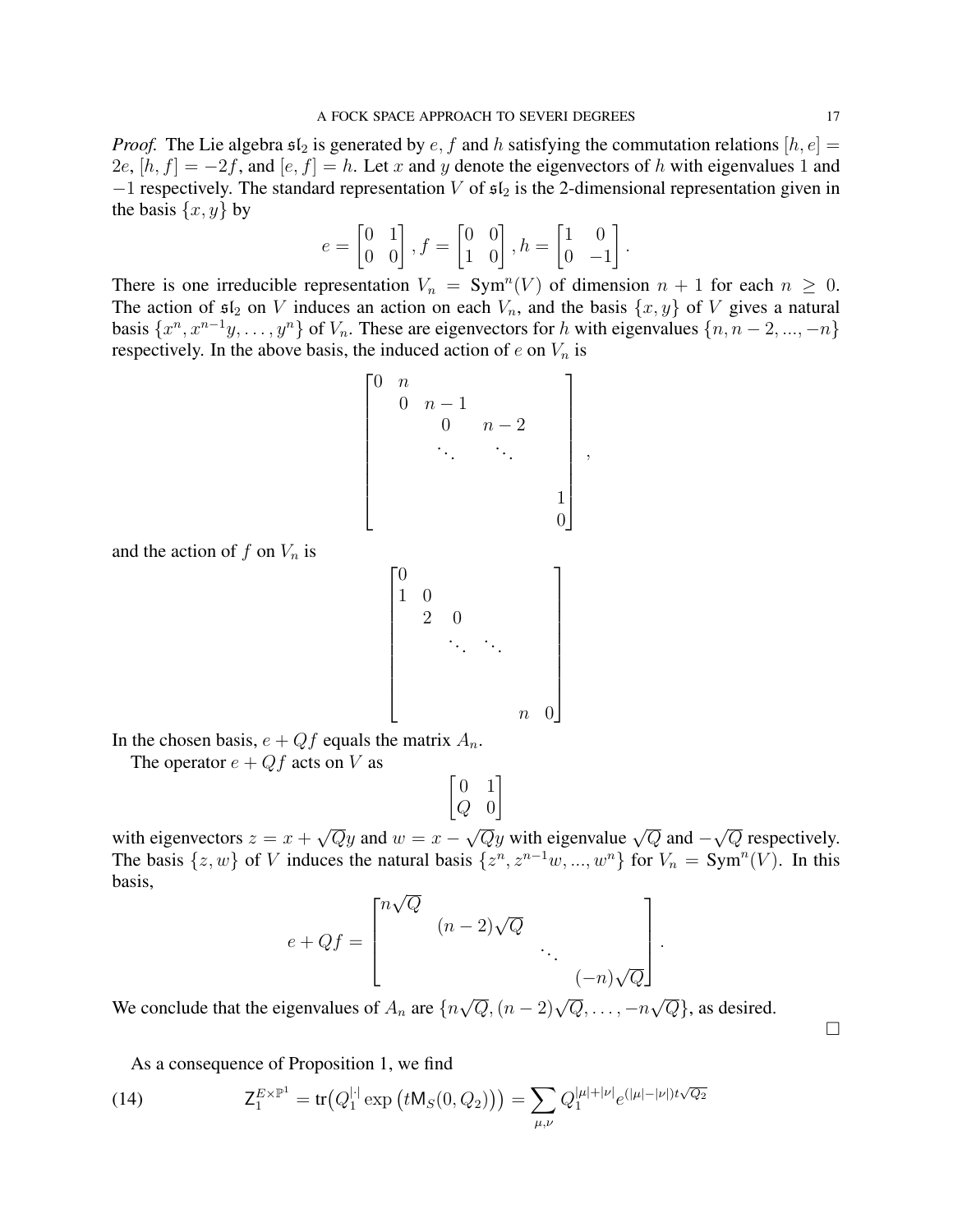*Proof.* The Lie algebra  $\mathfrak{sl}_2$  is generated by  $e, f$  and h satisfying the commutation relations  $[h, e] =$ 2e,  $[h, f] = -2f$ , and  $[e, f] = h$ . Let x and y denote the eigenvectors of h with eigenvalues 1 and  $-1$  respectively. The standard representation V of  $\mathfrak{sl}_2$  is the 2-dimensional representation given in the basis  $\{x, y\}$  by

$$
e = \begin{bmatrix} 0 & 1 \\ 0 & 0 \end{bmatrix}, f = \begin{bmatrix} 0 & 0 \\ 1 & 0 \end{bmatrix}, h = \begin{bmatrix} 1 & 0 \\ 0 & -1 \end{bmatrix}.
$$

There is one irreducible representation  $V_n = \text{Sym}^n(V)$  of dimension  $n + 1$  for each  $n \geq 0$ . The action of  $\mathfrak{sl}_2$  on V induces an action on each  $V_n$ , and the basis  $\{x, y\}$  of V gives a natural basis  $\{x^n, x^{n-1}y, \ldots, y^n\}$  of  $V_n$ . These are eigenvectors for h with eigenvalues  $\{n, n-2, \ldots, -n\}$ respectively. In the above basis, the induced action of  $e$  on  $V_n$  is

 0 n 0 n − 1 0 n − 2 . . . . . . 1 0 

,

and the action of f on  $V_n$  is

$$
\begin{bmatrix} 0 & & & & & \\ 1 & 0 & & & & \\ & 2 & 0 & & & \\ & & \ddots & \ddots & & \\ & & & & n & 0 \end{bmatrix}
$$

In the chosen basis,  $e + Qf$  equals the matrix  $A_n$ .

The operator  $e + Qf$  acts on V as

$$
\begin{bmatrix} 0 & 1 \\ Q & 0 \end{bmatrix}
$$

with eigenvectors  $z = x +$ √  $\overline{Q}y$  and  $w = x \sqrt{Q}y$  with eigenvalue  $\sqrt{Q}$  and  $-$ √  $\overline{Q}$  respectively. The basis  $\{z, w\}$  of V induces the natural basis  $\{z^n, z^{n-1}w, ..., w^n\}$  for  $V_n = \text{Sym}^n(V)$ . In this basis, √

$$
e + Qf = \begin{bmatrix} n\sqrt{Q} & & & \\ & (n-2)\sqrt{Q} & & \\ & & \ddots & \\ & & & (-n)\sqrt{Q} \end{bmatrix}.
$$

We conclude that the eigenvalues of  $A_n$  are  $\{n\}$  $\sqrt{Q},(n-2)\sqrt{Q},\ldots,-n$  $\overline{Q}$ , as desired.

As a consequence of Proposition 1, we find

(14) 
$$
Z_1^{E \times \mathbb{P}^1} = \text{tr}(Q_1^{|\cdot|} \exp(tM_S(0, Q_2))) = \sum_{\mu, \nu} Q_1^{|\mu| + |\nu|} e^{(|\mu| - |\nu|) t \sqrt{Q_2}}
$$

 $\Box$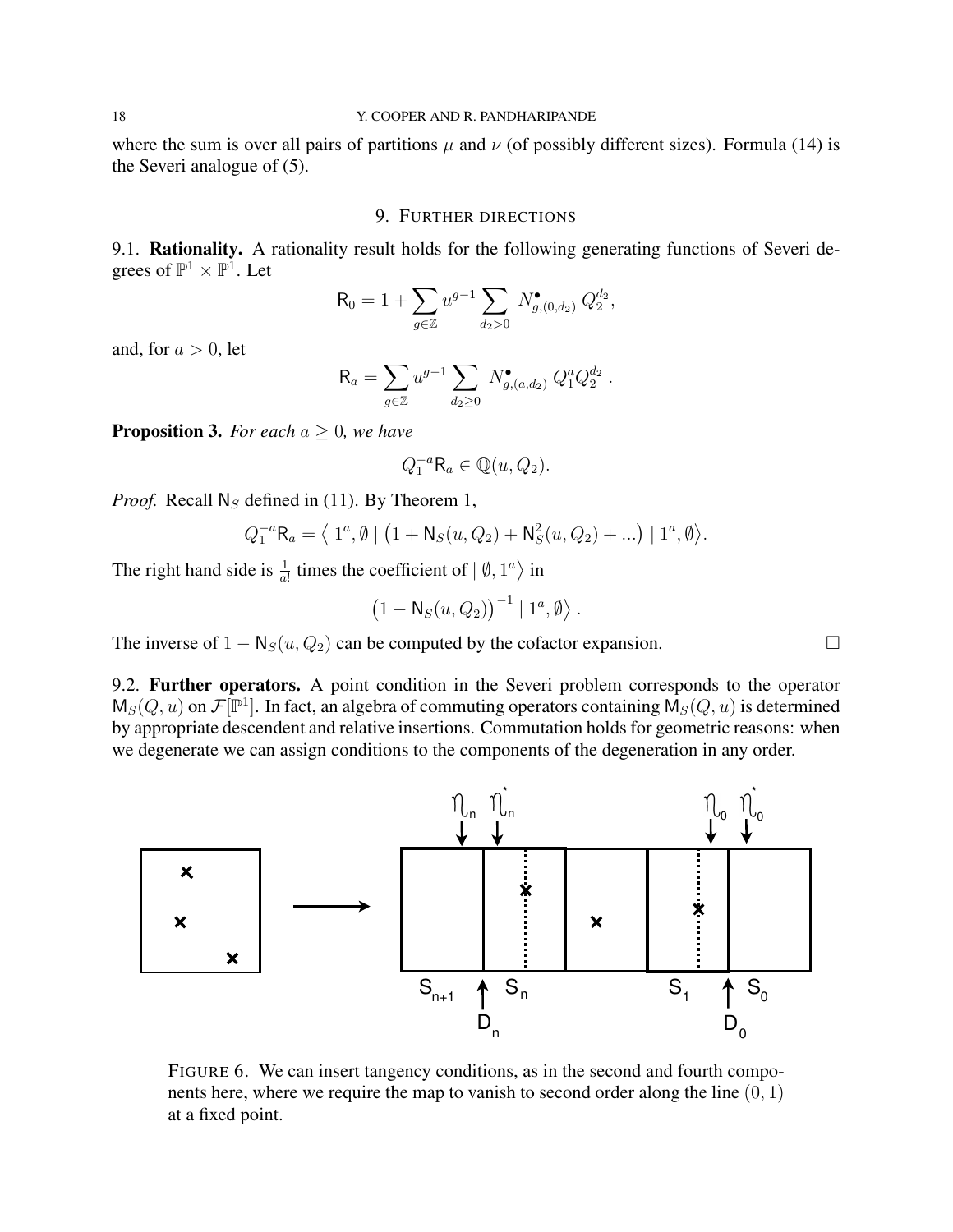where the sum is over all pairs of partitions  $\mu$  and  $\nu$  (of possibly different sizes). Formula (14) is the Severi analogue of (5).

### 9. FURTHER DIRECTIONS

9.1. Rationality. A rationality result holds for the following generating functions of Severi degrees of  $\mathbb{P}^1 \times \mathbb{P}^1$ . Let

$$
R_0 = 1 + \sum_{g \in \mathbb{Z}} u^{g-1} \sum_{d_2 > 0} N^{\bullet}_{g,(0,d_2)} Q_2^{d_2},
$$

and, for  $a > 0$ , let

$$
R_a = \sum_{g \in \mathbb{Z}} u^{g-1} \sum_{d_2 \ge 0} N_{g,(a,d_2)}^{\bullet} Q_1^a Q_2^{d_2}.
$$

**Proposition 3.** *For each*  $a \geq 0$ *, we have* 

$$
Q_1^{-a}R_a \in \mathbb{Q}(u, Q_2).
$$

*Proof.* Recall  $N_S$  defined in (11). By Theorem 1,

$$
Q_1^{-a}R_a = \langle 1^a, \emptyset | (1 + N_S(u, Q_2) + N_S^2(u, Q_2) + ...) | 1^a, \emptyset \rangle.
$$

The right hand side is  $\frac{1}{a!}$  times the coefficient of  $| \emptyset, 1^a \rangle$  in

$$
(1-\mathsf{N}_S(u,Q_2))^{-1} | 1^a,\emptyset \rangle.
$$

The inverse of  $1 - N_S(u, Q_2)$  can be computed by the cofactor expansion.  $\Box$ 

9.2. Further operators. A point condition in the Severi problem corresponds to the operator  $M_S(Q, u)$  on  $\mathcal{F}[\mathbb{P}^1]$ . In fact, an algebra of commuting operators containing  $M_S(Q, u)$  is determined by appropriate descendent and relative insertions. Commutation holds for geometric reasons: when we degenerate we can assign conditions to the components of the degeneration in any order.



FIGURE 6. We can insert tangency conditions, as in the second and fourth components here, where we require the map to vanish to second order along the line  $(0, 1)$ at a fixed point.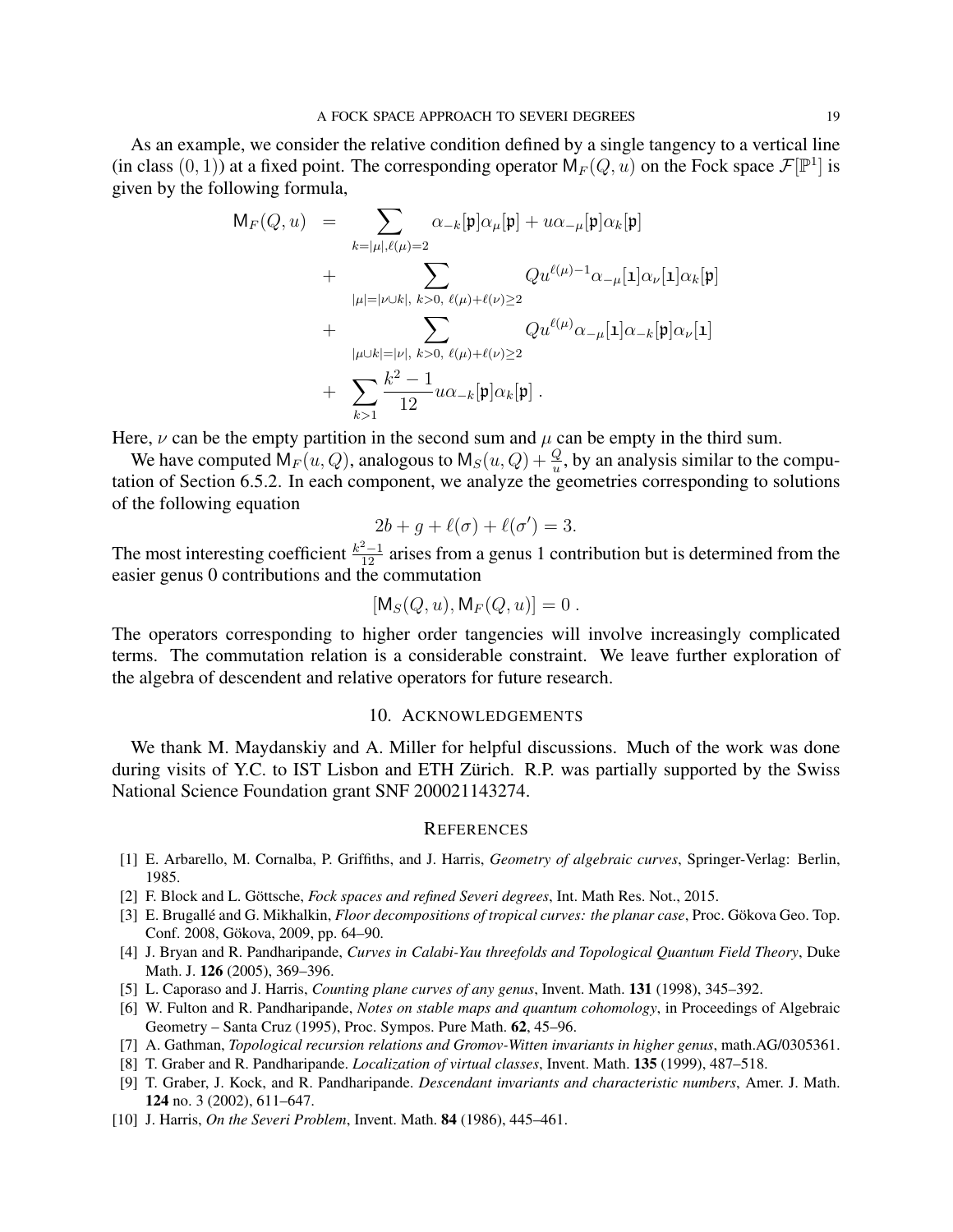As an example, we consider the relative condition defined by a single tangency to a vertical line (in class  $(0, 1)$ ) at a fixed point. The corresponding operator  $M_F(Q, u)$  on the Fock space  $\mathcal{F}[\mathbb{P}^1]$  is given by the following formula,

$$
M_{F}(Q, u) = \sum_{k=|\mu|, \ell(\mu)=2} \alpha_{-k}[\mathfrak{p}] \alpha_{\mu}[\mathfrak{p}] + u \alpha_{-\mu}[\mathfrak{p}] \alpha_{k}[\mathfrak{p}] + \sum_{|\mu|=|\nu \cup k|, k>0, \ell(\mu)+\ell(\nu) \geq 2} Q u^{\ell(\mu)-1} \alpha_{-\mu}[\mathbf{1}] \alpha_{\nu}[\mathbf{1}] \alpha_{k}[\mathfrak{p}] + \sum_{|\mu \cup k|=|\nu|, k>0, \ell(\mu)+\ell(\nu) \geq 2} Q u^{\ell(\mu)} \alpha_{-\mu}[\mathbf{1}] \alpha_{-k}[\mathfrak{p}] \alpha_{\nu}[\mathbf{1}] + \sum_{k>1} \frac{k^{2}-1}{12} u \alpha_{-k}[\mathfrak{p}] \alpha_{k}[\mathfrak{p}] .
$$

Here,  $\nu$  can be the empty partition in the second sum and  $\mu$  can be empty in the third sum.

We have computed  $M_F(u, Q)$ , analogous to  $M_S(u, Q) + \frac{Q}{u}$ , by an analysis similar to the computation of Section 6.5.2. In each component, we analyze the geometries corresponding to solutions of the following equation

$$
2b + g + \ell(\sigma) + \ell(\sigma') = 3.
$$

The most interesting coefficient  $\frac{k^2-1}{12}$  arises from a genus 1 contribution but is determined from the easier genus 0 contributions and the commutation

$$
[\mathsf{M}_S(Q, u), \mathsf{M}_F(Q, u)] = 0.
$$

The operators corresponding to higher order tangencies will involve increasingly complicated terms. The commutation relation is a considerable constraint. We leave further exploration of the algebra of descendent and relative operators for future research.

### 10. ACKNOWLEDGEMENTS

We thank M. Maydanskiy and A. Miller for helpful discussions. Much of the work was done during visits of Y.C. to IST Lisbon and ETH Zürich. R.P. was partially supported by the Swiss National Science Foundation grant SNF 200021143274.

### **REFERENCES**

- [1] E. Arbarello, M. Cornalba, P. Griffiths, and J. Harris, *Geometry of algebraic curves*, Springer-Verlag: Berlin, 1985.
- [2] F. Block and L. Göttsche, *Fock spaces and refined Severi degrees*, Int. Math Res. Not., 2015.
- [3] E. Brugallé and G. Mikhalkin, *Floor decompositions of tropical curves: the planar case*, Proc. Gökova Geo. Top. Conf. 2008, Gökova, 2009, pp. 64–90.
- [4] J. Bryan and R. Pandharipande, *Curves in Calabi-Yau threefolds and Topological Quantum Field Theory*, Duke Math. J. 126 (2005), 369–396.
- [5] L. Caporaso and J. Harris, *Counting plane curves of any genus*, Invent. Math. 131 (1998), 345–392.
- [6] W. Fulton and R. Pandharipande, *Notes on stable maps and quantum cohomology*, in Proceedings of Algebraic Geometry – Santa Cruz (1995), Proc. Sympos. Pure Math. 62, 45–96.
- [7] A. Gathman, *Topological recursion relations and Gromov-Witten invariants in higher genus*, math.AG/0305361.
- [8] T. Graber and R. Pandharipande. *Localization of virtual classes*, Invent. Math. 135 (1999), 487–518.
- [9] T. Graber, J. Kock, and R. Pandharipande. *Descendant invariants and characteristic numbers*, Amer. J. Math. 124 no. 3 (2002), 611–647.
- [10] J. Harris, *On the Severi Problem*, Invent. Math. 84 (1986), 445–461.